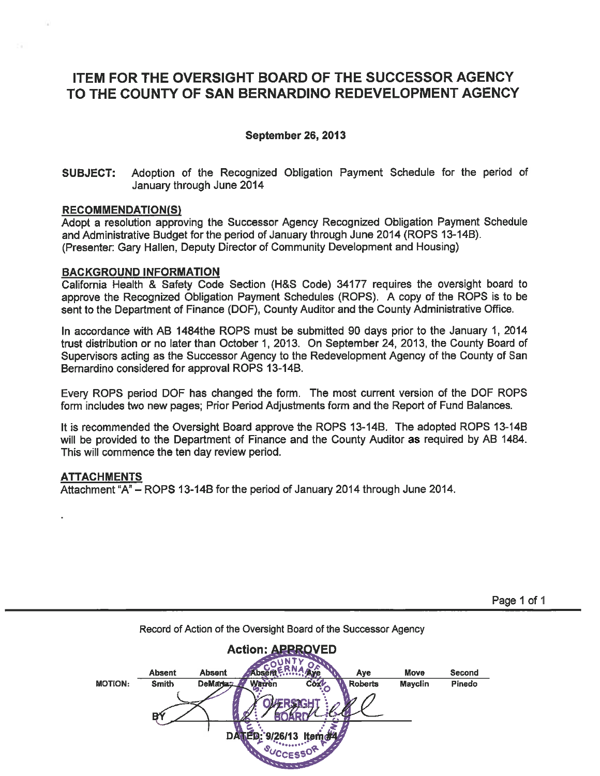# **ITEM FOR THE OVERSIGHT BOARD OF THE SUCCESSOR AGENCY** TO THE COUNTY OF SAN BERNARDINO REDEVELOPMENT AGENCY

# **September 26, 2013**

Adoption of the Recognized Obligation Payment Schedule for the period of **SUBJECT:** January through June 2014

## **RECOMMENDATION(S)**

Adopt a resolution approving the Successor Agency Recognized Obligation Payment Schedule and Administrative Budget for the period of January through June 2014 (ROPS 13-14B). (Presenter: Gary Hallen, Deputy Director of Community Development and Housing)

## **BACKGROUND INFORMATION**

California Health & Safety Code Section (H&S Code) 34177 requires the oversight board to approve the Recognized Obligation Payment Schedules (ROPS). A copy of the ROPS is to be sent to the Department of Finance (DOF). County Auditor and the County Administrative Office.

In accordance with AB 1484the ROPS must be submitted 90 days prior to the January 1, 2014 trust distribution or no later than October 1, 2013. On September 24, 2013, the County Board of Supervisors acting as the Successor Agency to the Redevelopment Agency of the County of San Bernardino considered for approval ROPS 13-14B.

Every ROPS period DOF has changed the form. The most current version of the DOF ROPS form includes two new pages: Prior Period Adiustments form and the Report of Fund Balances.

It is recommended the Oversight Board approve the ROPS 13-14B. The adopted ROPS 13-14B will be provided to the Department of Finance and the County Auditor as required by AB 1484. This will commence the ten day review period.

# **ATTACHMENTS**

Attachment "A" – ROPS 13-14B for the period of January 2014 through June 2014.

**Action: APPROVED Absent Absent** Second Aye Move **MOTION: Smith** DeMarts<sub>2</sub> Watren Roberts **Mayclin** Pinedo nЛ

Record of Action of the Oversight Board of the Successor Agency

Page 1 of 1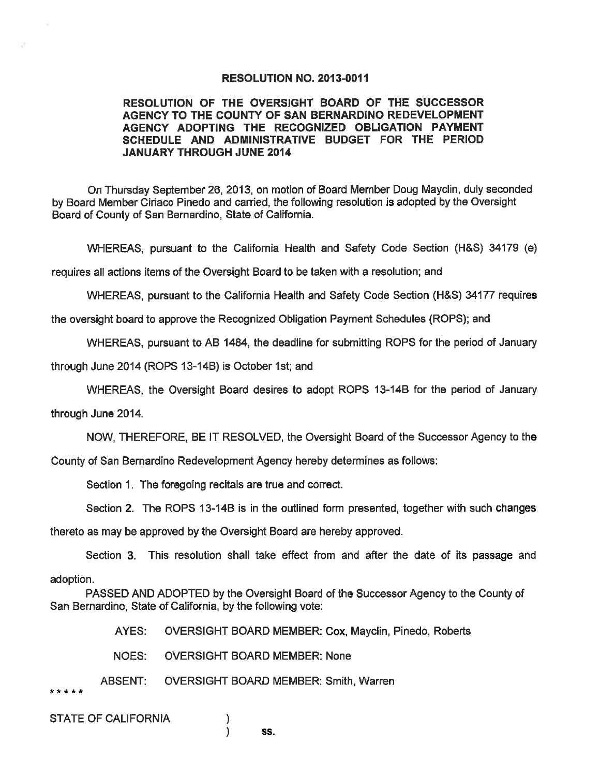### RESOLUTION NO. 2013-0011

## RESOLUTION OF THE OVERSIGHT BOARD OF THE SUCCESSOR AGENCY TO THE COUNTY OF SAN BERNARDINO REDEVELOPMENT AGENCY ADOPTING THE RECOGNIZED OBLIGATION PAYMENT SCHEDULE AND ADMINISTRATIVE BUDGET FOR THE PERIOD **JANUARY THROUGH JUNE 2014**

On Thursday September 26, 2013, on motion of Board Member Doug Mayclin, duly seconded by Board Member Ciriaco Pinedo and carried, the following resolution is adopted by the Oversight Board of County of San Bernardino, State of California.

WHEREAS, pursuant to the California Health and Safety Code Section (H&S) 34179 (e)

requires all actions items of the Oversight Board to be taken with a resolution; and

WHEREAS, pursuant to the California Health and Safety Code Section (H&S) 34177 requires

the oversight board to approve the Recognized Obligation Payment Schedules (ROPS); and

WHEREAS, pursuant to AB 1484, the deadline for submitting ROPS for the period of January

through June 2014 (ROPS 13-14B) is October 1st; and

WHEREAS, the Oversight Board desires to adopt ROPS 13-14B for the period of January

through June 2014.

NOW, THEREFORE, BE IT RESOLVED, the Oversight Board of the Successor Agency to the

County of San Bernardino Redevelopment Agency hereby determines as follows:

Section 1. The foregoing recitals are true and correct.

Section 2. The ROPS 13-14B is in the outlined form presented, together with such changes

thereto as may be approved by the Oversight Board are hereby approved.

Section 3. This resolution shall take effect from and after the date of its passage and adoption.

PASSED AND ADOPTED by the Oversight Board of the Successor Agency to the County of San Bernardino, State of California, by the following vote:

- AYES: **OVERSIGHT BOARD MEMBER: Cox, Mayclin, Pinedo, Roberts**
- NOES: **OVERSIGHT BOARD MEMBER: None**
- **OVERSIGHT BOARD MEMBER: Smith, Warren ABSENT:**

)  $\mathcal{E}$ 

\* \* \* \* \*

**STATE OF CALIFORNIA** 

SS.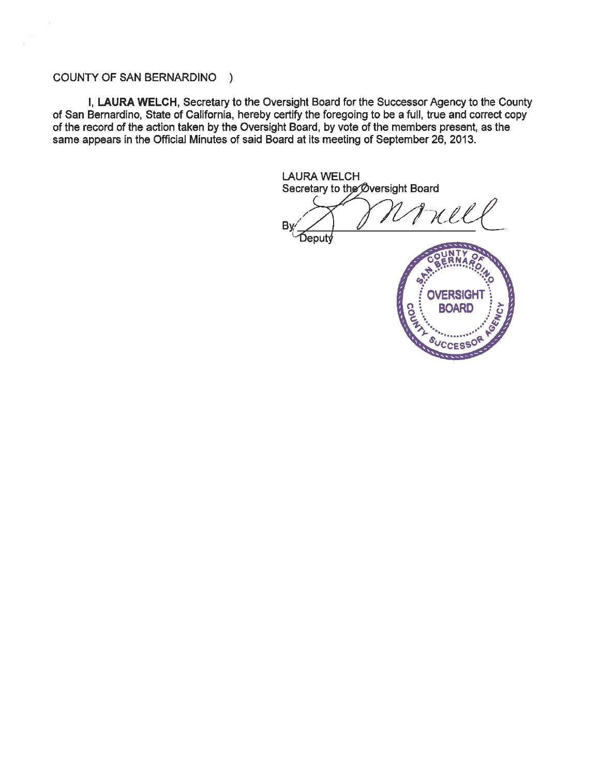# COUNTY OF SAN BERNARDINO )

I, LAURA WELCH, Secretary to the Oversight Board for the Successor Agency to the County of San Bernardino, State of California, hereby certify the foregoing to be a full, true and correct copy of the record of the action taken by the Oversight Board, by vote of the members present, as the same appears in the Official Minutes of said Board at its meeting of September 26, 2013.

**LAURA WELCH** Secretary to the Oversight Board Trel B٧ Deputý **OVERSIGHT** CON **BOARD CESS**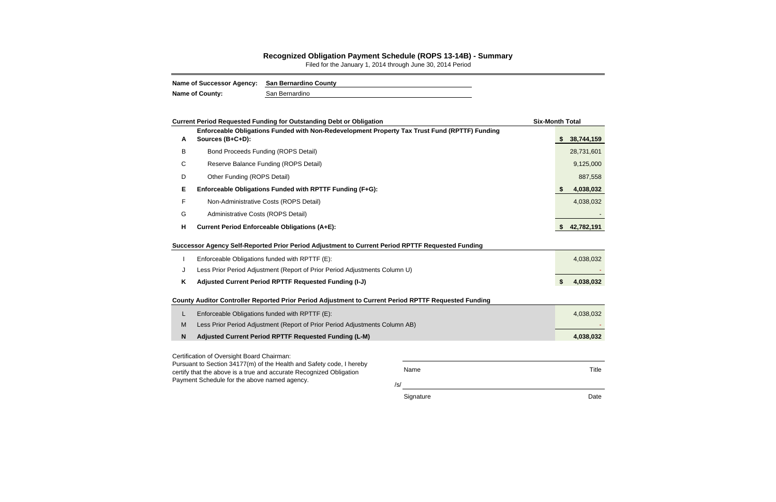/s/

|   | <b>Current Period Requested Funding for Outstanding Debt or Obligation</b>                                                                                                                                        | <b>Six-Month Total</b> |
|---|-------------------------------------------------------------------------------------------------------------------------------------------------------------------------------------------------------------------|------------------------|
| A | Enforceable Obligations Funded with Non-Redevelopment Property Tax Trust Fund (RPTTF) Funding<br>Sources (B+C+D):                                                                                                 | 38,744,159<br>S.       |
| В | <b>Bond Proceeds Funding (ROPS Detail)</b>                                                                                                                                                                        | 28,731,601             |
| С | Reserve Balance Funding (ROPS Detail)                                                                                                                                                                             | 9,125,000              |
| D | Other Funding (ROPS Detail)                                                                                                                                                                                       | 887,558                |
| Е | Enforceable Obligations Funded with RPTTF Funding (F+G):                                                                                                                                                          | 4,038,032              |
| F | Non-Administrative Costs (ROPS Detail)                                                                                                                                                                            | 4,038,032              |
| G | Administrative Costs (ROPS Detail)                                                                                                                                                                                |                        |
| н | <b>Current Period Enforceable Obligations (A+E):</b>                                                                                                                                                              | 42,782,191<br>S.       |
|   | Successor Agency Self-Reported Prior Period Adjustment to Current Period RPTTF Requested Funding<br>Enforceable Obligations funded with RPTTF (E):                                                                | 4,038,032              |
| J | Less Prior Period Adjustment (Report of Prior Period Adjustments Column U)                                                                                                                                        |                        |
| K | Adjusted Current Period RPTTF Requested Funding (I-J)                                                                                                                                                             | 4,038,032<br>\$.       |
|   | County Auditor Controller Reported Prior Period Adjustment to Current Period RPTTF Requested Funding                                                                                                              |                        |
| L | Enforceable Obligations funded with RPTTF (E):                                                                                                                                                                    | 4,038,032              |
| M | Less Prior Period Adjustment (Report of Prior Period Adjustments Column AB)                                                                                                                                       |                        |
| N | Adjusted Current Period RPTTF Requested Funding (L-M)                                                                                                                                                             | 4,038,032              |
|   | Certification of Oversight Board Chairman:                                                                                                                                                                        |                        |
|   | Pursuant to Section 34177(m) of the Health and Safety code, I hereby<br>Name<br>certify that the above is a true and accurate Recognized Obligation<br>Payment Schedule for the above named agency.<br>$\sqrt{2}$ | <b>Title</b>           |

Signature **Date** 

# **Recognized Obligation Payment Schedule (ROPS 13-14B) - Summary**

Filed for the January 1, 2014 through June 30, 2014 Period

| Name of Successor Agency: San Bernardino County |                |
|-------------------------------------------------|----------------|
| <b>Name of County:</b>                          | San Bernardino |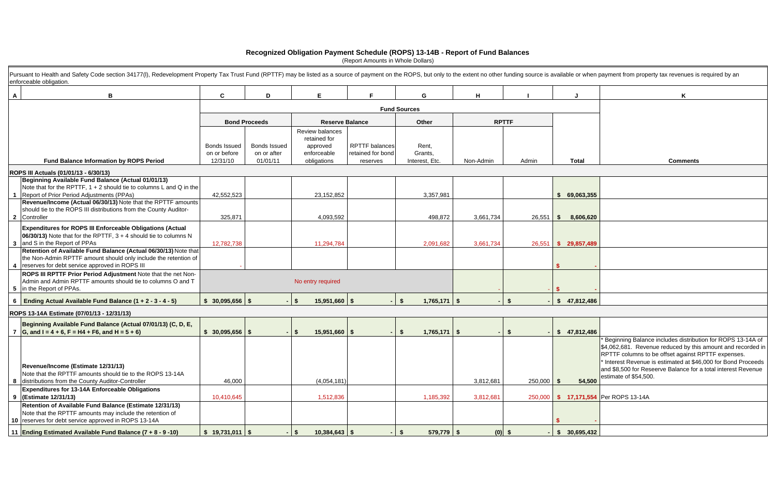| ble or when payment from property tax revenues is required by an |                 |  |  |  |  |  |  |  |  |  |  |  |
|------------------------------------------------------------------|-----------------|--|--|--|--|--|--|--|--|--|--|--|
|                                                                  |                 |  |  |  |  |  |  |  |  |  |  |  |
| J                                                                | Κ               |  |  |  |  |  |  |  |  |  |  |  |
|                                                                  |                 |  |  |  |  |  |  |  |  |  |  |  |
|                                                                  |                 |  |  |  |  |  |  |  |  |  |  |  |
|                                                                  |                 |  |  |  |  |  |  |  |  |  |  |  |
|                                                                  |                 |  |  |  |  |  |  |  |  |  |  |  |
|                                                                  |                 |  |  |  |  |  |  |  |  |  |  |  |
|                                                                  |                 |  |  |  |  |  |  |  |  |  |  |  |
| <b>Total</b>                                                     | <b>Comments</b> |  |  |  |  |  |  |  |  |  |  |  |
|                                                                  |                 |  |  |  |  |  |  |  |  |  |  |  |
|                                                                  |                 |  |  |  |  |  |  |  |  |  |  |  |
|                                                                  |                 |  |  |  |  |  |  |  |  |  |  |  |
| 69,063,355                                                       |                 |  |  |  |  |  |  |  |  |  |  |  |
|                                                                  |                 |  |  |  |  |  |  |  |  |  |  |  |
| 8,606,620                                                        |                 |  |  |  |  |  |  |  |  |  |  |  |

|                           | Pursuant to Health and Safety Code section 34177(I), Redevelopment Property Tax Trust Fund (RPTTF) may be listed as a source of payment on the ROPS, but only to the extent no other funding source is available or when paym<br>enforceable obligation. |                                     |                                    |                                                            |                                            |                         |           |              |                         |                                                                                                                                                                                                                                                                                                                   |
|---------------------------|----------------------------------------------------------------------------------------------------------------------------------------------------------------------------------------------------------------------------------------------------------|-------------------------------------|------------------------------------|------------------------------------------------------------|--------------------------------------------|-------------------------|-----------|--------------|-------------------------|-------------------------------------------------------------------------------------------------------------------------------------------------------------------------------------------------------------------------------------------------------------------------------------------------------------------|
| $\boldsymbol{\mathsf{A}}$ | В                                                                                                                                                                                                                                                        | $\mathbf{C}$                        | D                                  | Е                                                          |                                            | G                       | н         |              |                         |                                                                                                                                                                                                                                                                                                                   |
|                           |                                                                                                                                                                                                                                                          |                                     |                                    |                                                            |                                            | <b>Fund Sources</b>     |           |              |                         |                                                                                                                                                                                                                                                                                                                   |
|                           |                                                                                                                                                                                                                                                          |                                     | <b>Bond Proceeds</b>               | <b>Reserve Balance</b>                                     |                                            | Other                   |           | <b>RPTTF</b> |                         |                                                                                                                                                                                                                                                                                                                   |
|                           |                                                                                                                                                                                                                                                          | <b>Bonds Issued</b><br>on or before | <b>Bonds Issued</b><br>on or after | Review balances<br>retained for<br>approved<br>enforceable | <b>RPTTF</b> balances<br>retained for bond | Rent,<br>Grants,        |           |              |                         |                                                                                                                                                                                                                                                                                                                   |
|                           | <b>Fund Balance Information by ROPS Period</b>                                                                                                                                                                                                           | 12/31/10                            | 01/01/11                           | obligations                                                | reserves                                   | Interest, Etc.          | Non-Admin | Admin        | <b>Total</b>            | <b>Comments</b>                                                                                                                                                                                                                                                                                                   |
|                           | ROPS III Actuals (01/01/13 - 6/30/13)                                                                                                                                                                                                                    |                                     |                                    |                                                            |                                            |                         |           |              |                         |                                                                                                                                                                                                                                                                                                                   |
| $\mathbf 1$               | Beginning Available Fund Balance (Actual 01/01/13)<br>Note that for the RPTTF, $1 + 2$ should tie to columns L and Q in the<br>Report of Prior Period Adjustments (PPAs)<br>Revenue/Income (Actual 06/30/13) Note that the RPTTF amounts                 | 42,552,523                          |                                    | 23, 152, 852                                               |                                            | 3,357,981               |           |              | \$69,063,355            |                                                                                                                                                                                                                                                                                                                   |
|                           | should tie to the ROPS III distributions from the County Auditor-<br>2 Controller                                                                                                                                                                        | 325,871                             |                                    | 4,093,592                                                  |                                            | 498,872                 | 3,661,734 | 26,551       | 8,606,620<br>$\sqrt{2}$ |                                                                                                                                                                                                                                                                                                                   |
|                           | <b>Expenditures for ROPS III Enforceable Obligations (Actual</b><br>$ 06/30/13 $ Note that for the RPTTF, $3 + 4$ should tie to columns N<br>3 and S in the Report of PPAs                                                                               | 12,782,738                          |                                    | 11,294,784                                                 |                                            | 2,091,682               | 3,661,734 | 26,551       | \$29,857,489            |                                                                                                                                                                                                                                                                                                                   |
| 4                         | Retention of Available Fund Balance (Actual 06/30/13) Note that<br>the Non-Admin RPTTF amount should only include the retention of<br>reserves for debt service approved in ROPS III                                                                     |                                     |                                    |                                                            |                                            |                         |           |              |                         |                                                                                                                                                                                                                                                                                                                   |
|                           | ROPS III RPTTF Prior Period Adjustment Note that the net Non-<br>Admin and Admin RPTTF amounts should tie to columns O and T<br>5 in the Report of PPAs.                                                                                                 |                                     |                                    | No entry required                                          |                                            |                         |           |              |                         |                                                                                                                                                                                                                                                                                                                   |
| 6                         | Ending Actual Available Fund Balance (1 + 2 - 3 - 4 - 5)                                                                                                                                                                                                 | $$30,095,656$ \\$                   |                                    | $\mathbf{\hat{S}}$<br>$15,951,660$ \$                      |                                            | \$<br>$1,765,171$ \$    |           | \$           | \$47,812,486            |                                                                                                                                                                                                                                                                                                                   |
|                           | ROPS 13-14A Estimate (07/01/13 - 12/31/13)                                                                                                                                                                                                               |                                     |                                    |                                                            |                                            |                         |           |              |                         |                                                                                                                                                                                                                                                                                                                   |
|                           | Beginning Available Fund Balance (Actual 07/01/13) (C, D, E,<br>7 $G$ , and I = 4 + 6, F = H4 + F6, and H = 5 + 6)                                                                                                                                       | $$30,095,656$ \\$                   |                                    | $15,951,660$ \$<br>- S                                     |                                            | $1,765,171$ \$<br>- \$  |           | - \$         | \$47,812,486            |                                                                                                                                                                                                                                                                                                                   |
| 8                         | Revenue/Income (Estimate 12/31/13)<br>Note that the RPTTF amounts should tie to the ROPS 13-14A<br>distributions from the County Auditor-Controller                                                                                                      | 46,000                              |                                    | (4,054,181)                                                |                                            |                         | 3,812,681 | 250,000      | 54,500                  | Beginning Balance includes distribution for ROPS 1<br>\$4,062,681. Revenue reduced by this amount and re<br><b>RPTTF</b> columns to be offset against RPTTF expense<br>* Interest Revenue is estimated at \$46,000 for Bond I<br>and \$8,500 for Reseerve Balance for a total interest F<br>estimate of \$54,500. |
| 9                         | <b>Expenditures for 13-14A Enforceable Obligations</b><br>(Estimate 12/31/13)                                                                                                                                                                            | 10,410,645                          |                                    | 1,512,836                                                  |                                            | 1,185,392               | 3,812,681 |              |                         | 250,000   \$ 17,171,554 Per ROPS 13-14A                                                                                                                                                                                                                                                                           |
|                           | Retention of Available Fund Balance (Estimate 12/31/13)<br>Note that the RPTTF amounts may include the retention of<br>10 reserves for debt service approved in ROPS 13-14A                                                                              |                                     |                                    |                                                            |                                            |                         |           |              |                         |                                                                                                                                                                                                                                                                                                                   |
|                           | 11 Ending Estimated Available Fund Balance (7 + 8 - 9 -10)                                                                                                                                                                                               | $$19,731,011$ \$                    |                                    | $10,384,643$ \$<br>$-1$ \$                                 |                                            | $-1$ \$<br>$579,779$ \$ |           | $(0)$ \$     | \$30,695,432            |                                                                                                                                                                                                                                                                                                                   |

| 7,812,486 |                                                                                                                                                                                                                                                                                                                                              |
|-----------|----------------------------------------------------------------------------------------------------------------------------------------------------------------------------------------------------------------------------------------------------------------------------------------------------------------------------------------------|
| 54.500    | * Beginning Balance includes distribution for ROPS 13-14A of<br>\$4,062,681. Revenue reduced by this amount and recorded in<br>RPTTF columns to be offset against RPTTF expenses.<br>* Interest Revenue is estimated at \$46,000 for Bond Proceeds<br>and \$8,500 for Reseerve Balance for a total interest Revenue<br>estimate of \$54,500. |
|           | 7,171,554 Per ROPS 13-14A                                                                                                                                                                                                                                                                                                                    |
|           |                                                                                                                                                                                                                                                                                                                                              |
| 0.695.432 |                                                                                                                                                                                                                                                                                                                                              |

## **Recognized Obligation Payment Schedule (ROPS) 13-14B - Report of Fund Balances**

(Report Amounts in Whole Dollars)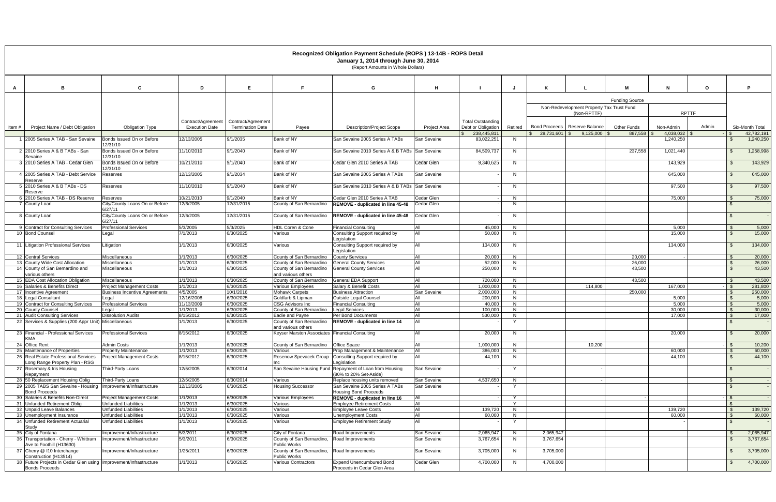|       | Recognized Obligation Payment Schedule (ROPS) 13-14B - ROPS Detail<br>January 1, 2014 through June 30, 2014<br>(Report Amounts in Whole Dollars) |                                                                         |                       |                         |                                                                      |                                                                                   |              |                                   |              |                                                        |                                           |                               |                        |         |                                                         |
|-------|--------------------------------------------------------------------------------------------------------------------------------------------------|-------------------------------------------------------------------------|-----------------------|-------------------------|----------------------------------------------------------------------|-----------------------------------------------------------------------------------|--------------|-----------------------------------|--------------|--------------------------------------------------------|-------------------------------------------|-------------------------------|------------------------|---------|---------------------------------------------------------|
| A     | B                                                                                                                                                | C.                                                                      | D                     | Е                       | F.                                                                   | G                                                                                 | н            |                                   |              |                                                        |                                           | M                             | N                      | $\circ$ | P                                                       |
|       |                                                                                                                                                  |                                                                         |                       |                         |                                                                      |                                                                                   |              |                                   |              |                                                        |                                           | <b>Funding Source</b>         |                        |         |                                                         |
|       |                                                                                                                                                  |                                                                         |                       |                         |                                                                      |                                                                                   |              |                                   |              |                                                        | Non-Redevelopment Property Tax Trust Fund |                               |                        |         |                                                         |
|       |                                                                                                                                                  |                                                                         |                       |                         |                                                                      |                                                                                   |              |                                   |              |                                                        | (Non-RPTTF)                               |                               | <b>RPTTF</b>           |         |                                                         |
|       |                                                                                                                                                  |                                                                         | Contract/Agreement    | Contract/Agreement      |                                                                      |                                                                                   |              | <b>Total Outstanding</b>          |              |                                                        |                                           |                               |                        |         |                                                         |
| Item# | Project Name / Debt Obligation                                                                                                                   | <b>Obligation Type</b>                                                  | <b>Execution Date</b> | <b>Termination Date</b> | Payee                                                                | <b>Description/Project Scope</b>                                                  | Project Area | Debt or Obligation<br>238,445,811 | Retired      | <b>Bond Proceeds</b><br>28,731,601 \$<br>$\mathcal{S}$ | Reserve Balance<br>$9,125,000$ \$         | <b>Other Funds</b><br>887,558 | Non-Admin<br>4,038,032 | Admin   | Six-Month Total<br>42,782,191                           |
|       | 2005 Series A TAB - San Sevaine                                                                                                                  | Bonds Issued On or Before<br>12/31/10                                   | 12/13/2005            | 9/1/2035                | Bank of NY                                                           | San Sevaine 2005 Series A TABs                                                    | San Sevaine  | 83,022,251                        | N            |                                                        |                                           |                               | 1,240,250              |         | 1,240,250                                               |
|       | 2 2010 Series A & B TABs - San<br>Sevaine                                                                                                        | Bonds Issued On or Before<br>12/31/10                                   | 11/10/2010            | 9/1/2040                | Bank of NY                                                           | San Sevaine 2010 Series A & B TABs San Sevaine                                    |              | 84,509,737                        | N            |                                                        |                                           | 237,558                       | 1,021,440              |         | 1,258,998                                               |
|       | 3 2010 Series A TAB - Cedar Glen                                                                                                                 | Bonds Issued On or Before<br>12/31/10                                   | 10/21/2010            | 9/1/2040                | Bank of NY                                                           | Cedar Glen 2010 Series A TAB                                                      | Cedar Glen   | 9,340,625                         | N            |                                                        |                                           |                               | 143,929                |         | 143,929<br>$\mathbb{S}$                                 |
|       | 4 2005 Series A TAB - Debt Service<br>Reserve                                                                                                    | Reserves                                                                | 12/13/2005            | 9/1/2034                | Bank of NY                                                           | San Sevaine 2005 Series A TABs                                                    | San Sevaine  |                                   | N            |                                                        |                                           |                               | 645,000                |         | 645,000                                                 |
|       | 5 2010 Series A & B TABs - DS<br>Reserve                                                                                                         | Reserves                                                                | 11/10/2010            | 9/1/2040                | Bank of NY                                                           | San Sevaine 2010 Series A & B TABs San Sevaine                                    |              |                                   | N            |                                                        |                                           |                               | 97,500                 |         | 97,500<br>$\mathbf{\hat{s}}$                            |
|       | 6 2010 Series A TAB - DS Reserve                                                                                                                 | Reserves                                                                | 10/21/2010            | 9/1/2040                | <b>Bank of NY</b>                                                    | Cedar Glen 2010 Series A TAB                                                      | Cedar Glen   |                                   | N            |                                                        |                                           |                               | 75,000                 |         | 75,000<br>$\mathbf{\hat{F}}$                            |
|       | 7 County Loan                                                                                                                                    | City/County Loans On or Before<br>6/27/11                               | 12/6/2005             | 12/31/2015              | County of San Bernardino                                             | REMOVE - duplicated in line 45-48                                                 | Cedar Glen   |                                   | N            |                                                        |                                           |                               |                        |         |                                                         |
|       | 8 County Loan                                                                                                                                    | City/County Loans On or Before<br>6/27/11                               | 12/6/2005             | 12/31/2015              | County of San Bernardino                                             | REMOVE - duplicated in line 45-48                                                 | Cedar Glen   |                                   | N            |                                                        |                                           |                               |                        |         |                                                         |
|       | 9 Contract for Consulting Services                                                                                                               | <b>Professional Services</b>                                            | 5/3/2005              | 5/3/2025                | <b>HDL Coren &amp; Cone</b>                                          | <b>Financial Consulting</b>                                                       | All          | 45,000                            | N            |                                                        |                                           |                               | 5,000                  |         | 5,000                                                   |
|       | 10 Bond Counsel                                                                                                                                  | egal                                                                    | 7/1/2013              | 6/30/2025               | Various                                                              | Consulting Support required by<br>Legislation                                     | All          | 50,000                            | N            |                                                        |                                           |                               | 15,000                 |         | 15,000<br>-S                                            |
|       | 11 Litigation Professional Services                                                                                                              | .itigation                                                              | 1/1/2013              | 6/30/2025               | Various                                                              | Consulting Support required by<br>Legislation                                     | All          | 134,000                           | N            |                                                        |                                           |                               | 134,000                |         | 134,000<br>$\mathbf{\hat{s}}$                           |
|       | 12 Central Services                                                                                                                              | <b>Miscellaneous</b>                                                    | 1/1/2013              | 6/30/2025               | County of San Bernardino                                             | <b>County Services</b>                                                            | All          | 20,000                            | N            |                                                        |                                           | 20.000                        |                        |         | 20,000<br>୍ମ¢                                           |
|       | 13 County Wide Cost Allocation<br>14 County of San Bernardino and                                                                                | <b>Miscellaneous</b><br>Miscellaneous                                   | 1/1/2013<br>1/1/2013  | 6/30/2025<br>6/30/2025  | County of San Bernardino<br>County of San Bernardino                 | <b>General County Services</b><br><b>General County Services</b>                  | All<br>All   | 52,000<br>250,000                 | N<br>N       |                                                        |                                           | 26,000<br>43,500              |                        |         | 26,000<br>$\mathcal{S}$<br>43,500<br>$\mathbf{\hat{s}}$ |
|       | various others                                                                                                                                   |                                                                         |                       |                         | and various others                                                   |                                                                                   |              |                                   |              |                                                        |                                           |                               |                        |         |                                                         |
|       | 15 EDA Cost Allocation Obligation                                                                                                                | Miscellaneous                                                           | 1/1/2013              | 6/30/2025               | County of San Bernardino                                             | General EDA Support                                                               | All<br>All   | 720,000                           | N            |                                                        |                                           | 43,500                        |                        |         | 43,500                                                  |
|       | 16 Salaries & Benefits Direct<br>17 Incentive Agreement                                                                                          | <b>Project Management Costs</b><br><b>Business Incentive Agreements</b> | 1/1/2013<br>4/5/2005  | 6/30/2025<br>10/1/2016  | Various Employees<br><b>Mohawk Carpets</b>                           | Salary & Benefit Costs<br><b>Business Attraction</b>                              | San Sevaine  | 1,000,000<br>2.000.000            | N<br>N       |                                                        | 114,800                                   | 250,000                       | 167,000                | $-1$ \$ | 281,800<br>250,000<br>\$                                |
|       | 18 Legal Consultant                                                                                                                              | Legal                                                                   | 12/16/2008            | 6/30/2025               | Goldfarb & Lipman                                                    | <b>Outside Legal Counsel</b>                                                      | All          | 200,000                           | N            |                                                        |                                           |                               | 5,000                  |         | 5,000<br>\$                                             |
|       | 19 Contract for Consulting Services                                                                                                              | <b>Professional Services</b>                                            | 11/13/2009            | 6/30/2025               | CSG Advisors Inc                                                     | <b>Financial Consulting</b>                                                       | All          | 40,000                            | N            |                                                        |                                           |                               | 5,000                  |         | 5,000<br>- S                                            |
|       | 20 County Counsel                                                                                                                                | Legal                                                                   | 1/1/2013              | 6/30/2025               | County of San Bernardino                                             | <b>Legal Services</b>                                                             | All          | 100.000                           | N            |                                                        |                                           |                               | 30,000                 |         | 30,000<br>$\mathbf{\hat{s}}$                            |
|       | 21 Audit Consulting Services<br>22 Services & Supplies (200 Appr Unit) Miscellaneous                                                             | <b>Dissolution Audits</b>                                               | 8/15/2012<br>1/1/2013 | 6/30/2025<br>6/30/2025  | Eadie and Payne<br>County of San Bernardino                          | Per Bond Documents<br>REMOVE - duplicated in line 14                              | All<br>All   | 530,000                           | N<br>Y       |                                                        |                                           |                               | 17,000                 |         | 17,000<br>-\$                                           |
|       | 23 Financial - Professional Services                                                                                                             | <b>Professional Services</b>                                            | 8/15/2012             | 6/30/2025               | and various others<br>Keyser Marston Associates Financial Consulting |                                                                                   | All          | 20,000                            | N            |                                                        |                                           |                               | 20,000                 |         | 20,000                                                  |
|       | <b>KMA</b><br>24 Office Rent                                                                                                                     | <b>Admin Costs</b>                                                      | 1/1/2013              | 6/30/2025               | County of San Bernardino                                             | Office Space                                                                      | All          | 1,000,000                         | N            |                                                        | 10,200                                    |                               |                        |         | 10,200<br>- \$                                          |
|       | 25 Maintenance of Properties                                                                                                                     | Property Maintenance                                                    | 1/1/2013              | 6/30/2025               | Various                                                              | Prop Management & Maintenance                                                     | All          | 386,000                           | N            |                                                        |                                           |                               | 60,000                 |         | $\mathbf{s}$<br>60,000                                  |
|       | 26 Real Estate Professional Services<br>Long Range Property Plan - RSG                                                                           | <b>Project Management Costs</b>                                         | 8/15/2012             | 6/30/2025               | Inc                                                                  | Rosenow Spevacek Group Consulting Support required by<br>Legislation              | All          | 44,100                            | N            |                                                        |                                           |                               | 44,100                 |         | $\mathbb{S}$<br>44,100                                  |
|       | 27 Rosemary & Iris Housing<br>Repayment                                                                                                          | Third-Party Loans                                                       | 12/5/2005             | 6/30/2014               |                                                                      | San Sevaine Housing Fund Repayment of Loan from Housing<br>(80% to 20% Set-Aside) | San Sevaine  |                                   | Y            |                                                        |                                           |                               |                        |         | $\mathcal{S}$                                           |
|       | 28 50 Replacement Housing Oblig                                                                                                                  | Third-Party Loans                                                       | 12/5/2005             | 6/30/2014               | Various                                                              | Replace housing units removed                                                     | San Sevaine  | 4,537,650                         | N            |                                                        |                                           |                               |                        |         |                                                         |
|       | 29 2005 TABS San Sevaine - Housing<br><b>Bond Proceeds</b>                                                                                       | Improvement/Infrastructure                                              | 12/13/2005            | 6/30/2025               | <b>Housing Successor</b>                                             | San Sevaine 2005 Series A TABs<br><b>Housing Bond Proceeds</b>                    | San Sevaine  |                                   | Y            |                                                        |                                           |                               |                        |         |                                                         |
|       | 30 Salaries & Benefits Non-Direct                                                                                                                | <b>Project Management Costs</b>                                         | 1/1/2013              | 6/30/2025               | Various Employees                                                    | REMOVE - duplicated in line 16                                                    | All          |                                   | Y            |                                                        |                                           |                               |                        | $-1$ \$ |                                                         |
|       | 31 Unfunded Retirement Oblig                                                                                                                     | <b>Unfunded Liabilities</b>                                             | 1/1/2013              | 6/30/2025               | Various                                                              | <b>Employee Retirement Costs</b>                                                  | All          |                                   | <sup>Y</sup> |                                                        |                                           |                               |                        |         | $\mathbf{\hat{f}}$                                      |
|       | 32 Unpaid Leave Balances<br>33 Unemployment Insurance                                                                                            | <b>Unfunded Liabilities</b><br><b>Unfunded Liabilities</b>              | 1/1/2013<br>1/1/2013  | 6/30/2025<br>6/30/2025  | Various<br>Various                                                   | <b>Employee Leave Costs</b><br><b>Unemployment Costs</b>                          | All<br>All   | 139,720<br>60,000                 | N<br>N       |                                                        |                                           |                               | 139,720<br>60,000      |         | 139,720<br>$\mathbf{s}$<br>60,000                       |
|       | 34 Unfunded Retirement Actuarial                                                                                                                 | <b>Unfunded Liabilities</b>                                             | 1/1/2013              | 6/30/2025               | Various                                                              | <b>Employee Retirement Study</b>                                                  | All          |                                   | Y            |                                                        |                                           |                               |                        |         | $\mathbf{\$}$                                           |
|       | Study<br>35 City of Fontana                                                                                                                      | Improvement/Infrastructure                                              | 5/3/2011              | 6/30/2025               | City of Fontana                                                      | Road Improvements                                                                 | San Sevaine  | 2,065,947                         | N            | 2,065,947                                              |                                           |                               |                        |         | 2,065,947                                               |
|       | 36 Transportation - Cherry - Whittram<br>Ave to Foothill (H13630)                                                                                | Improvement/Infrastructure                                              | 5/3/2011              | 6/30/2025               | County of San Bernardino, Road Improvements<br><b>Public Works</b>   |                                                                                   | San Sevaine  | 3,767,654                         | N            | 3,767,654                                              |                                           |                               |                        |         | 3,767,654<br>-S                                         |
|       | 37 Cherry @ 110 Interchange<br>Construction (H13514)                                                                                             | Improvement/Infrastructure                                              | 1/25/2011             | 6/30/2025               | County of San Bernardino, Road Improvements<br>Public Works          |                                                                                   | San Sevaine  | 3,705,000                         | N.           | 3,705,000                                              |                                           |                               |                        |         | 3,705,000                                               |
|       | 38 Future Projects in Cedar Glen using Improvement/Infrastructure<br><b>Bonds Proceeds</b>                                                       |                                                                         | 1/1/2013              | 6/30/2025               | <b>Various Contractors</b>                                           | <b>Expend Unencumbured Bond</b><br>Proceeds in Cedar Glen Area                    | Cedar Glen   | 4,700,000                         | N            | 4,700,000                                              |                                           |                               |                        |         | 4,700,000<br>$\mathbb{S}$                               |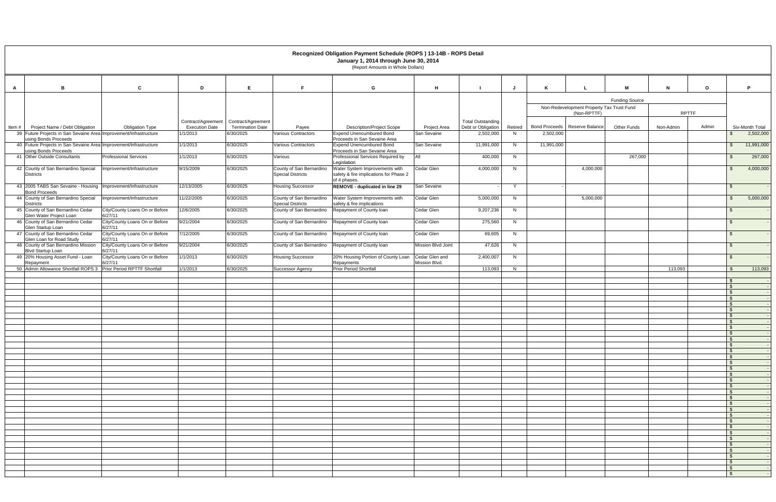|          | Recognized Obligation Payment Schedule (ROPS) 13-14B - ROPS Detail<br>January 1, 2014 through June 30, 2014<br>(Report Amounts in Whole Dollars) |                                           |                       |                                                                    |                                                      |                                                                                          |                    |                                                |              |                      |                                           |                       |           |              |                    |
|----------|--------------------------------------------------------------------------------------------------------------------------------------------------|-------------------------------------------|-----------------------|--------------------------------------------------------------------|------------------------------------------------------|------------------------------------------------------------------------------------------|--------------------|------------------------------------------------|--------------|----------------------|-------------------------------------------|-----------------------|-----------|--------------|--------------------|
|          |                                                                                                                                                  |                                           |                       |                                                                    |                                                      |                                                                                          |                    |                                                |              |                      |                                           |                       |           |              |                    |
| A        | <b>B</b>                                                                                                                                         | $\mathbf{C}$                              | D                     | E.                                                                 | <b>E</b>                                             | G                                                                                        | H                  | -1                                             | $\mathbf{J}$ | К                    |                                           | M                     | N         | $\mathbf{o}$ | <b>P</b>           |
|          |                                                                                                                                                  |                                           |                       |                                                                    |                                                      |                                                                                          |                    |                                                |              |                      |                                           | <b>Funding Source</b> |           |              |                    |
|          |                                                                                                                                                  |                                           |                       |                                                                    |                                                      |                                                                                          |                    |                                                |              |                      | Non-Redevelopment Property Tax Trust Fund |                       |           |              |                    |
|          |                                                                                                                                                  |                                           |                       |                                                                    |                                                      |                                                                                          |                    |                                                |              |                      | (Non-RPTTF)                               |                       |           | <b>RPTTF</b> |                    |
| Item $#$ | Project Name / Debt Obligation                                                                                                                   | Obligation Type                           | <b>Execution Date</b> | Contract/Agreement   Contract/Agreement<br><b>Termination Date</b> | Payee                                                | <b>Description/Project Scope</b>                                                         | Project Area       | <b>Total Outstanding</b><br>Debt or Obligation | Retired      | <b>Bond Proceeds</b> | Reserve Balance                           | <b>Other Funds</b>    | Non-Admin | Admin        | Six-Month Total    |
|          | 39 Future Projects in San Sevaine Area Improvement/Infrastructure                                                                                |                                           | 1/1/2013              | 6/30/2025                                                          | <b>Various Contractors</b>                           | <b>Expend Unencumbured Bond</b>                                                          | San Sevaine        | 2,502,000                                      | N            | 2,502,000            |                                           |                       |           |              | 2,502,000<br>-S    |
|          | using Bonds Proceeds<br>40 Future Projects in San Sevaine Area Improvement/Infrastructure                                                        |                                           | 1/1/2013              | 6/30/2025                                                          | <b>Various Contractors</b>                           | Proceeds in San Sevaine Area<br><b>Expend Unencumbured Bond</b>                          | San Sevaine        | 11,991,000                                     | N            | 11,991,000           |                                           |                       |           |              | 11,991,000<br>- S  |
|          | using Bonds Proceeds<br>41 Other Outside Consultants                                                                                             | <b>Professional Services</b>              | 1/1/2013              | 6/30/2025                                                          | Various                                              | Proceeds in San Sevaine Area<br>Professional Services Required by                        | All                | 400,000                                        | N            |                      |                                           | 267,000               |           |              | 267,000<br>- \$    |
|          |                                                                                                                                                  |                                           |                       |                                                                    |                                                      | Legislation                                                                              |                    |                                                |              |                      |                                           |                       |           |              |                    |
|          | 42 County of San Bernardino Special<br><b>Districts</b>                                                                                          | Improvement/Infrastructure                | 9/15/2009             | 6/30/2025                                                          | County of San Bernardino<br><b>Special Districts</b> | Water System Improvements with<br>safety & fire implications for Phase 2<br>of 4 phases. | Cedar Glen         | 4,000,000                                      | N            |                      | 4,000,000                                 |                       |           |              | 4,000,000<br>-S    |
|          | 43 2005 TABS San Sevaine - Housing   Improvement/Infrastructure<br><b>Bond Proceeds</b>                                                          |                                           | 12/13/2005            | 6/30/2025                                                          | <b>Housing Successor</b>                             | REMOVE - duplicated in line 29                                                           | San Sevaine        |                                                | Y            |                      |                                           |                       |           |              | <sup>\$</sup>      |
|          | 44 County of San Bernardino Special<br><b>Districts</b>                                                                                          | Improvement/Infrastructure                | 11/22/2005            | 6/30/2025                                                          | County of San Bernardino<br><b>Special Districts</b> | Water System Improvements with<br>safety & fire implications                             | Cedar Glen         | 5,000,000                                      | N            |                      | 5,000,000                                 |                       |           |              | 5,000,000<br>-S    |
|          | 45 County of San Bernardino Cedar                                                                                                                | City/County Loans On or Before            | 12/6/2005             | 6/30/2025                                                          | County of San Bernardino                             | Repayment of County loan                                                                 | Cedar Glen         | 9,207,236                                      | N            |                      |                                           |                       |           |              | $\mathbf{s}$       |
|          | Glen Water Project Loan<br>46 County of San Bernardino Cedar                                                                                     | 6/27/11<br>City/County Loans On or Before | 9/21/2004             | 6/30/2025                                                          | County of San Bernardino                             | Repayment of County Ioan                                                                 | Cedar Glen         | 275,560                                        | N            |                      |                                           |                       |           |              |                    |
|          | Glen Startup Loan<br>47 County of San Bernardino Cedar                                                                                           | 6/27/11<br>City/County Loans On or Before | 7/12/2005             | 6/30/2025                                                          |                                                      | County of San Bernardino Repayment of County Ioan                                        | Cedar Glen         | 69,605                                         | N            |                      |                                           |                       |           |              |                    |
|          | Glen Loan for Road Study<br>48 County of San Bernardino Mission                                                                                  | 6/27/11<br>City/County Loans On or Before | 9/21/2004             | 6/30/2025                                                          | County of San Bernardino                             | Repayment of County Ioan                                                                 | Mission Blvd Joint | 47,626                                         | N            |                      |                                           |                       |           |              | <sup>\$</sup>      |
|          | <b>Blvd Startup Loan</b><br>49 20% Housing Asset Fund - Loan                                                                                     | 6/27/11<br>City/County Loans On or Before | 1/1/2013              | 6/30/2025                                                          | <b>Housing Successor</b>                             | 20% Housing Portion of County Loan                                                       | Cedar Glen and     | 2,400,007                                      | N            |                      |                                           |                       |           |              |                    |
|          | Repayment                                                                                                                                        | 6/27/11                                   |                       |                                                                    |                                                      | Repayments                                                                               | Mission Blvd.      |                                                | N            |                      |                                           |                       |           |              |                    |
|          | 50 Admin Allowance Shortfall ROPS 3 Prior Period RPTTF Shortfall                                                                                 |                                           | 1/1/2013              | 6/30/2025                                                          | Successor Agency                                     | <b>Prior Period Shortfall</b>                                                            |                    | 113,093                                        |              |                      |                                           |                       | 113,093   |              | 113,093            |
|          |                                                                                                                                                  |                                           |                       |                                                                    |                                                      |                                                                                          |                    |                                                |              |                      |                                           |                       |           |              |                    |
|          |                                                                                                                                                  |                                           |                       |                                                                    |                                                      |                                                                                          |                    |                                                |              |                      |                                           |                       |           |              |                    |
|          |                                                                                                                                                  |                                           |                       |                                                                    |                                                      |                                                                                          |                    |                                                |              |                      |                                           |                       |           |              | $\mathbf{\hat{s}}$ |
|          |                                                                                                                                                  |                                           |                       |                                                                    |                                                      |                                                                                          |                    |                                                |              |                      |                                           |                       |           |              |                    |
|          |                                                                                                                                                  |                                           |                       |                                                                    |                                                      |                                                                                          |                    |                                                |              |                      |                                           |                       |           |              |                    |
|          |                                                                                                                                                  |                                           |                       |                                                                    |                                                      |                                                                                          |                    |                                                |              |                      |                                           |                       |           |              |                    |
|          |                                                                                                                                                  |                                           |                       |                                                                    |                                                      |                                                                                          |                    |                                                |              |                      |                                           |                       |           |              |                    |
|          |                                                                                                                                                  |                                           |                       |                                                                    |                                                      |                                                                                          |                    |                                                |              |                      |                                           |                       |           |              |                    |
|          |                                                                                                                                                  |                                           |                       |                                                                    |                                                      |                                                                                          |                    |                                                |              |                      |                                           |                       |           |              |                    |
|          |                                                                                                                                                  |                                           |                       |                                                                    |                                                      |                                                                                          |                    |                                                |              |                      |                                           |                       |           |              |                    |
|          |                                                                                                                                                  |                                           |                       |                                                                    |                                                      |                                                                                          |                    |                                                |              |                      |                                           |                       |           |              |                    |
|          |                                                                                                                                                  |                                           |                       |                                                                    |                                                      |                                                                                          |                    |                                                |              |                      |                                           |                       |           |              |                    |
|          |                                                                                                                                                  |                                           |                       |                                                                    |                                                      |                                                                                          |                    |                                                |              |                      |                                           |                       |           |              |                    |
|          |                                                                                                                                                  |                                           |                       |                                                                    |                                                      |                                                                                          |                    |                                                |              |                      |                                           |                       |           |              |                    |
|          |                                                                                                                                                  |                                           |                       |                                                                    |                                                      |                                                                                          |                    |                                                |              |                      |                                           |                       |           |              |                    |
|          |                                                                                                                                                  |                                           |                       |                                                                    |                                                      |                                                                                          |                    |                                                |              |                      |                                           |                       |           |              |                    |
|          |                                                                                                                                                  |                                           |                       |                                                                    |                                                      |                                                                                          |                    |                                                |              |                      |                                           |                       |           |              |                    |
|          |                                                                                                                                                  |                                           |                       |                                                                    |                                                      |                                                                                          |                    |                                                |              |                      |                                           |                       |           |              |                    |
|          |                                                                                                                                                  |                                           |                       |                                                                    |                                                      |                                                                                          |                    |                                                |              |                      |                                           |                       |           |              |                    |
|          |                                                                                                                                                  |                                           |                       |                                                                    |                                                      |                                                                                          |                    |                                                |              |                      |                                           |                       |           |              |                    |
|          |                                                                                                                                                  |                                           |                       |                                                                    |                                                      |                                                                                          |                    |                                                |              |                      |                                           |                       |           |              |                    |
|          |                                                                                                                                                  |                                           |                       |                                                                    |                                                      |                                                                                          |                    |                                                |              |                      |                                           |                       |           |              |                    |
|          |                                                                                                                                                  |                                           |                       |                                                                    |                                                      |                                                                                          |                    |                                                |              |                      |                                           |                       |           |              |                    |
|          |                                                                                                                                                  |                                           |                       |                                                                    |                                                      |                                                                                          |                    |                                                |              |                      |                                           |                       |           |              |                    |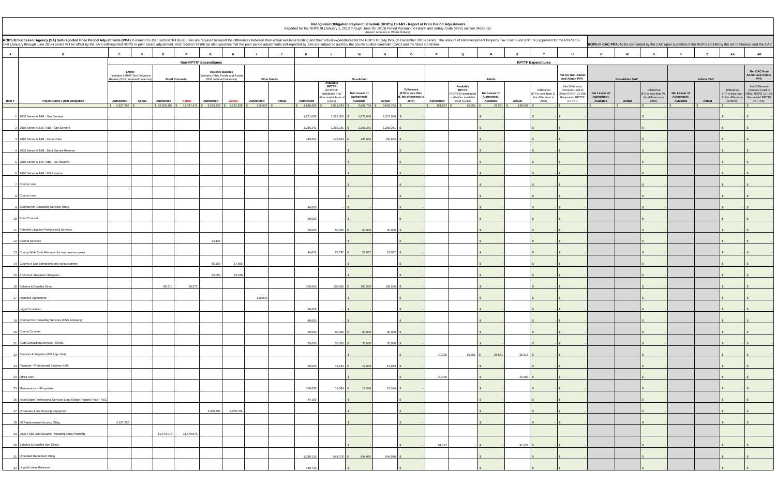|                |                                                                                                                                                                                                                                |                                                                                  |                             |                                                                                                        |                    |                                                  |                                                                                                                      |                                                     |              |                                                                 | Recognized Obligation Payment Schedule (ROPS) 13-14B - Report of Prior Period Adjustments<br>Reported for the ROPS III (January 1, 2013 through June 30, 2013) Period Pursuant to Health and Safety Code (HSC) section 34186 (a)<br>(Report Amounts in Whole Dollars) |                                                                                                              |                                             |                                                          |                                                                            |                               |                          |                                                         |                               |                                                                                                                 |                                                       |                                                                                  |
|----------------|--------------------------------------------------------------------------------------------------------------------------------------------------------------------------------------------------------------------------------|----------------------------------------------------------------------------------|-----------------------------|--------------------------------------------------------------------------------------------------------|--------------------|--------------------------------------------------|----------------------------------------------------------------------------------------------------------------------|-----------------------------------------------------|--------------|-----------------------------------------------------------------|-----------------------------------------------------------------------------------------------------------------------------------------------------------------------------------------------------------------------------------------------------------------------|--------------------------------------------------------------------------------------------------------------|---------------------------------------------|----------------------------------------------------------|----------------------------------------------------------------------------|-------------------------------|--------------------------|---------------------------------------------------------|-------------------------------|-----------------------------------------------------------------------------------------------------------------|-------------------------------------------------------|----------------------------------------------------------------------------------|
|                | ROPS III Successor Agency (SA) Self-reported Prior Period Adjustments (PPA):Pursuant to HSC Section 34186 (a), SAs are required to report the differences between their actual available funding and their actual expenditures |                                                                                  |                             |                                                                                                        |                    |                                                  |                                                                                                                      |                                                     |              |                                                                 |                                                                                                                                                                                                                                                                       |                                                                                                              |                                             |                                                          |                                                                            |                               |                          |                                                         |                               | ROPS III CAC PPA: To be completed by the CAC upon submittal of the ROPS 13-14B by the SA to Finance and the CAC |                                                       |                                                                                  |
| $\overline{A}$ | $\overline{B}$                                                                                                                                                                                                                 | $\mathbf{c}$<br>$\mathbf{D}$                                                     | E<br>F                      | G<br>H                                                                                                 | J                  | K                                                | M                                                                                                                    |                                                     |              | $\Omega$                                                        | $\mathbf{P}$                                                                                                                                                                                                                                                          | $\mathbf Q$                                                                                                  | R<br><b>S</b>                               |                                                          | $\mathbf{U}$                                                               | $\mathbf{v}$                  | W                        | $\mathbf{x}$                                            |                               | $\mathbf{z}$                                                                                                    | AA                                                    | AB                                                                               |
|                |                                                                                                                                                                                                                                |                                                                                  |                             | <b>Non-RPTTF Expenditures</b>                                                                          |                    |                                                  |                                                                                                                      |                                                     | N            |                                                                 |                                                                                                                                                                                                                                                                       |                                                                                                              |                                             | <b>RPTTF Expenditures</b>                                |                                                                            |                               |                          |                                                         |                               |                                                                                                                 |                                                       |                                                                                  |
|                |                                                                                                                                                                                                                                | <b>LMIHF</b><br>(Includes LMIHF Due Diligence<br>Review (DDR) retained balances) | <b>Bond Proceeds</b>        | <b>Reserve Balance</b><br>ncludes Other Funds and Assets<br>DDR retained balances)                     | <b>Other Funds</b> | Non-Admin                                        |                                                                                                                      |                                                     |              |                                                                 |                                                                                                                                                                                                                                                                       | Admin                                                                                                        |                                             |                                                          | Net SA Non-Admin<br>and Admin PPA                                          | <b>Non-Admin CAC</b>          |                          |                                                         | <b>Admin CAC</b>              |                                                                                                                 |                                                       | Net CAC Non-<br><b>Admin and Admin</b><br><b>PPA</b>                             |
|                |                                                                                                                                                                                                                                |                                                                                  |                             |                                                                                                        |                    |                                                  | Available<br><b>RPTTF</b><br>(ROPS III<br>Net Lesser of<br>distributed + all<br>other available as of<br>Authorized/ |                                                     |              | <b>Difference</b><br>(If M is less than<br>N, the difference is |                                                                                                                                                                                                                                                                       | Available<br><b>RPTTF</b><br>Net Lesser of<br>(ROPS III distributed<br>+ all other available<br>Authorized / |                                             | Difference<br>(If R is less than S,<br>the difference is | Net Difference<br>(Amount Used to<br>Offset ROPS 13-14B<br>Requested RPTTF | Net Lesser of<br>Authorized / |                          | Difference<br>If V is less than W,<br>the difference is | Net Lesser of<br>Authorized / |                                                                                                                 | Difference<br>(If Y is less than<br>Z, the difference | Net Difference<br>(Amount Used to<br>Offset ROPS 13-14<br><b>Requested RPTTF</b> |
| Item#          | <b>Project Name / Debt Obligation</b>                                                                                                                                                                                          | <b>Actual</b><br>Authorized<br>$$4,537,650$ \$                                   | Authorized<br><b>Actual</b> | Authorized<br><b>Actual</b><br>$-$ \$ 22,325,409 \$ 12,747,471 \$ 3,243,233 \$ 3,152,208 \$ 110,000 \$ | Authorized         | <b>Actual</b><br>Authorized<br>$$4,888,405$ \ \$ | 1/1/13                                                                                                               | Available<br>3,661,734 \$ 3,661,734 \$ 3,661,734 \$ | Actual       | zero)                                                           | Authorized<br>$\frac{1}{2}$ \$ 151,827 \$                                                                                                                                                                                                                             | as of 1/1/13)<br>$26,551$ \$                                                                                 | Available<br>Actual<br>26,551 \$ 139,645 \$ | zero)                                                    | $(O + T))$<br>$\overline{\phantom{a}}$                                     | Available<br>-15              | Actual<br>$ \sim$ $\sim$ | zero)<br>-1\$                                           | Available<br>IS.              | Actual<br>$\sim$                                                                                                | is zero)<br>$\overline{\mathbf{s}}$                   | $(X + AA)$<br>$\mathcal{S}$                                                      |
|                | 1 2005 Series A TAB - San Sevaine                                                                                                                                                                                              |                                                                                  |                             |                                                                                                        |                    | 1,271,000                                        |                                                                                                                      |                                                     | 1,271,000 \$ |                                                                 |                                                                                                                                                                                                                                                                       |                                                                                                              |                                             |                                                          |                                                                            |                               |                          |                                                         |                               |                                                                                                                 |                                                       |                                                                                  |
|                |                                                                                                                                                                                                                                |                                                                                  |                             |                                                                                                        |                    |                                                  |                                                                                                                      | 1,271,000 \$ 1,271,000                              |              |                                                                 |                                                                                                                                                                                                                                                                       |                                                                                                              |                                             |                                                          |                                                                            |                               |                          |                                                         |                               |                                                                                                                 |                                                       |                                                                                  |
|                | 2 2010 Series A & B TABs - San Sevaine                                                                                                                                                                                         |                                                                                  |                             |                                                                                                        |                    | 1,265,241                                        | $1,265,241$ \$                                                                                                       | 1,265,241                                           | 1,265,241 \$ |                                                                 |                                                                                                                                                                                                                                                                       |                                                                                                              |                                             |                                                          |                                                                            |                               |                          |                                                         |                               |                                                                                                                 |                                                       |                                                                                  |
|                | 3 2010 Series A TAB - Cedar Glen                                                                                                                                                                                               |                                                                                  |                             |                                                                                                        |                    | 145.654                                          | $145,654$ \$                                                                                                         | 145.654                                             | 145,654      |                                                                 |                                                                                                                                                                                                                                                                       |                                                                                                              |                                             |                                                          |                                                                            |                               |                          |                                                         |                               |                                                                                                                 |                                                       |                                                                                  |
|                | 4 2005 Series A TAB - Debt Service Reserve                                                                                                                                                                                     |                                                                                  |                             |                                                                                                        |                    |                                                  |                                                                                                                      |                                                     |              |                                                                 |                                                                                                                                                                                                                                                                       |                                                                                                              |                                             |                                                          |                                                                            |                               |                          |                                                         |                               |                                                                                                                 |                                                       |                                                                                  |
|                | 5 2010 Series A & B TABs - DS Reserve                                                                                                                                                                                          |                                                                                  |                             |                                                                                                        |                    |                                                  |                                                                                                                      |                                                     |              |                                                                 |                                                                                                                                                                                                                                                                       |                                                                                                              |                                             |                                                          |                                                                            |                               |                          |                                                         |                               |                                                                                                                 |                                                       |                                                                                  |
|                | 6 2010 Series A TAB - DS Reserve                                                                                                                                                                                               |                                                                                  |                             |                                                                                                        |                    |                                                  |                                                                                                                      |                                                     |              |                                                                 |                                                                                                                                                                                                                                                                       |                                                                                                              |                                             |                                                          |                                                                            |                               |                          |                                                         |                               |                                                                                                                 |                                                       |                                                                                  |
|                | 7 County Loan                                                                                                                                                                                                                  |                                                                                  |                             |                                                                                                        |                    |                                                  |                                                                                                                      |                                                     |              |                                                                 |                                                                                                                                                                                                                                                                       |                                                                                                              |                                             |                                                          |                                                                            |                               |                          |                                                         |                               |                                                                                                                 |                                                       |                                                                                  |
|                | 8 County Loan                                                                                                                                                                                                                  |                                                                                  |                             |                                                                                                        |                    |                                                  |                                                                                                                      |                                                     |              |                                                                 |                                                                                                                                                                                                                                                                       |                                                                                                              |                                             |                                                          |                                                                            |                               |                          |                                                         |                               |                                                                                                                 |                                                       |                                                                                  |
|                | 9 Contract for Consulting Services (HdL)                                                                                                                                                                                       |                                                                                  |                             |                                                                                                        |                    | 40,000                                           |                                                                                                                      |                                                     |              |                                                                 |                                                                                                                                                                                                                                                                       |                                                                                                              |                                             |                                                          |                                                                            |                               |                          |                                                         |                               |                                                                                                                 |                                                       |                                                                                  |
|                | 10 Bond Counsel                                                                                                                                                                                                                |                                                                                  |                             |                                                                                                        |                    | 50,000                                           |                                                                                                                      |                                                     |              |                                                                 |                                                                                                                                                                                                                                                                       |                                                                                                              |                                             |                                                          |                                                                            |                               |                          |                                                         |                               |                                                                                                                 |                                                       |                                                                                  |
|                | 11 Potential Litigation Professional Services                                                                                                                                                                                  |                                                                                  |                             |                                                                                                        |                    | 50,000                                           | $50,000$ \$                                                                                                          | 50,000                                              | 50,000       |                                                                 |                                                                                                                                                                                                                                                                       |                                                                                                              |                                             |                                                          |                                                                            |                               |                          |                                                         |                               |                                                                                                                 |                                                       |                                                                                  |
|                |                                                                                                                                                                                                                                |                                                                                  |                             |                                                                                                        |                    |                                                  |                                                                                                                      |                                                     |              |                                                                 |                                                                                                                                                                                                                                                                       |                                                                                                              |                                             |                                                          |                                                                            |                               |                          |                                                         |                               |                                                                                                                 |                                                       |                                                                                  |
|                | 12 Central Services                                                                                                                                                                                                            |                                                                                  |                             | 23,138                                                                                                 |                    |                                                  |                                                                                                                      |                                                     |              |                                                                 |                                                                                                                                                                                                                                                                       |                                                                                                              |                                             |                                                          |                                                                            |                               |                          |                                                         |                               |                                                                                                                 |                                                       |                                                                                  |
|                | 13 County Wide Cost Allocation for two previous years                                                                                                                                                                          |                                                                                  |                             |                                                                                                        |                    | 44,074                                           | $22,037$ \$                                                                                                          | 22,037                                              | 22,037       |                                                                 |                                                                                                                                                                                                                                                                       |                                                                                                              |                                             |                                                          |                                                                            |                               |                          |                                                         |                               |                                                                                                                 |                                                       |                                                                                  |
|                | 14 County of San Bernardino and various others                                                                                                                                                                                 |                                                                                  |                             | 17,865<br>66,300                                                                                       |                    |                                                  |                                                                                                                      |                                                     |              |                                                                 |                                                                                                                                                                                                                                                                       |                                                                                                              |                                             |                                                          |                                                                            |                               |                          |                                                         |                               |                                                                                                                 |                                                       |                                                                                  |
|                | 15 EDA Cost Allocation Obligation                                                                                                                                                                                              |                                                                                  |                             | 83,000<br>63,548                                                                                       |                    |                                                  |                                                                                                                      |                                                     |              |                                                                 |                                                                                                                                                                                                                                                                       |                                                                                                              |                                             |                                                          |                                                                            |                               |                          |                                                         |                               |                                                                                                                 |                                                       |                                                                                  |
|                | 16 Salaries & Benefits Direct                                                                                                                                                                                                  |                                                                                  | 89.710<br>50,373            |                                                                                                        |                    | 100,500                                          | $100,500$ \$                                                                                                         | 100,500                                             | $100,500$ \$ |                                                                 |                                                                                                                                                                                                                                                                       |                                                                                                              |                                             |                                                          |                                                                            |                               |                          |                                                         |                               |                                                                                                                 |                                                       |                                                                                  |
|                | 17 Incentive Agreement                                                                                                                                                                                                         |                                                                                  |                             |                                                                                                        | 110,000            |                                                  |                                                                                                                      |                                                     |              |                                                                 |                                                                                                                                                                                                                                                                       |                                                                                                              |                                             |                                                          |                                                                            |                               |                          |                                                         |                               |                                                                                                                 |                                                       |                                                                                  |
|                | Legal Consultant                                                                                                                                                                                                               |                                                                                  |                             |                                                                                                        |                    | 80,000                                           |                                                                                                                      |                                                     |              |                                                                 |                                                                                                                                                                                                                                                                       |                                                                                                              |                                             |                                                          |                                                                            |                               |                          |                                                         |                               |                                                                                                                 |                                                       |                                                                                  |
|                | 19 Contract for Consulting Services (CSG Advisors)                                                                                                                                                                             |                                                                                  |                             |                                                                                                        |                    | 40,000                                           |                                                                                                                      |                                                     |              |                                                                 |                                                                                                                                                                                                                                                                       |                                                                                                              |                                             |                                                          |                                                                            |                               |                          |                                                         |                               |                                                                                                                 |                                                       |                                                                                  |
|                | 20 County Counsel                                                                                                                                                                                                              |                                                                                  |                             |                                                                                                        |                    | 90,000                                           | $90,000$ \$                                                                                                          | 90,000                                              | $90,000$ \$  |                                                                 |                                                                                                                                                                                                                                                                       |                                                                                                              |                                             |                                                          |                                                                            |                               |                          |                                                         |                               |                                                                                                                 |                                                       |                                                                                  |
|                | 21 Audit Consulting Services - RAMS                                                                                                                                                                                            |                                                                                  |                             |                                                                                                        |                    | 35,000                                           | $35,000$ \$                                                                                                          | 35,000                                              | $35,000$ \$  |                                                                 |                                                                                                                                                                                                                                                                       |                                                                                                              |                                             |                                                          |                                                                            |                               |                          |                                                         |                               |                                                                                                                 |                                                       |                                                                                  |
|                | 22 Services & Supplies (200 Appr Unit)                                                                                                                                                                                         |                                                                                  |                             |                                                                                                        |                    |                                                  |                                                                                                                      |                                                     |              |                                                                 | 40,300                                                                                                                                                                                                                                                                | 26,551 \$26,551                                                                                              |                                             | $28,118$ \$                                              |                                                                            |                               |                          |                                                         |                               |                                                                                                                 |                                                       |                                                                                  |
|                | 23 Financial - Professional Services KMA                                                                                                                                                                                       |                                                                                  |                             |                                                                                                        |                    | 20,000                                           | $19,643$ \$                                                                                                          | 19,643                                              | $19,643$ \$  |                                                                 |                                                                                                                                                                                                                                                                       |                                                                                                              |                                             |                                                          |                                                                            |                               |                          |                                                         |                               |                                                                                                                 |                                                       |                                                                                  |
|                | 24 Office Rent                                                                                                                                                                                                                 |                                                                                  |                             |                                                                                                        |                    |                                                  |                                                                                                                      |                                                     |              |                                                                 | 20,400                                                                                                                                                                                                                                                                |                                                                                                              |                                             | $20,400$ \$                                              |                                                                            |                               |                          |                                                         |                               |                                                                                                                 |                                                       |                                                                                  |
|                | 25 Maintenance of Properties                                                                                                                                                                                                   |                                                                                  |                             |                                                                                                        |                    | 100,000                                          | $18,584$ \$                                                                                                          | 18,584                                              | 18,584 \$    |                                                                 |                                                                                                                                                                                                                                                                       |                                                                                                              |                                             |                                                          |                                                                            |                               |                          |                                                         |                               |                                                                                                                 |                                                       |                                                                                  |
|                |                                                                                                                                                                                                                                |                                                                                  |                             |                                                                                                        |                    |                                                  |                                                                                                                      |                                                     |              |                                                                 |                                                                                                                                                                                                                                                                       |                                                                                                              |                                             |                                                          |                                                                            |                               |                          |                                                         |                               |                                                                                                                 |                                                       |                                                                                  |
|                | 26 Real Estate Professional Services Long Range Property Plan - RSG                                                                                                                                                            |                                                                                  |                             |                                                                                                        |                    | 44,100                                           |                                                                                                                      | IS.                                                 |              |                                                                 |                                                                                                                                                                                                                                                                       |                                                                                                              |                                             |                                                          |                                                                            |                               |                          |                                                         |                               |                                                                                                                 |                                                       |                                                                                  |
|                | 27 Rosemary & Iris Housing Repayment                                                                                                                                                                                           |                                                                                  |                             | 3,070,795<br>3,070,795                                                                                 |                    |                                                  |                                                                                                                      |                                                     |              |                                                                 |                                                                                                                                                                                                                                                                       |                                                                                                              |                                             |                                                          |                                                                            |                               |                          |                                                         |                               |                                                                                                                 |                                                       |                                                                                  |
|                | 28 50 Replacement Housing Oblig                                                                                                                                                                                                | 4,537,650                                                                        |                             |                                                                                                        |                    |                                                  |                                                                                                                      |                                                     |              |                                                                 |                                                                                                                                                                                                                                                                       |                                                                                                              |                                             |                                                          |                                                                            |                               |                          |                                                         |                               |                                                                                                                 |                                                       |                                                                                  |
|                | 29 2005 TABS San Sevaine - Housing Bond Proceeds                                                                                                                                                                               |                                                                                  | 11,479,976<br>11,479,976    |                                                                                                        |                    |                                                  |                                                                                                                      |                                                     |              |                                                                 |                                                                                                                                                                                                                                                                       |                                                                                                              |                                             |                                                          |                                                                            |                               |                          |                                                         |                               |                                                                                                                 |                                                       |                                                                                  |
|                | 30 Salaries & Benefits Non-Direct                                                                                                                                                                                              |                                                                                  |                             |                                                                                                        |                    |                                                  |                                                                                                                      |                                                     |              |                                                                 | 91,127                                                                                                                                                                                                                                                                |                                                                                                              |                                             | $91,127$ \$                                              |                                                                            |                               |                          |                                                         |                               |                                                                                                                 |                                                       |                                                                                  |
|                | 31 Unfunded Retirement Oblig                                                                                                                                                                                                   |                                                                                  |                             |                                                                                                        |                    | 1,288,116                                        | 644,076 \$                                                                                                           | 644,076                                             | 644,076      |                                                                 |                                                                                                                                                                                                                                                                       |                                                                                                              |                                             |                                                          |                                                                            |                               |                          |                                                         |                               |                                                                                                                 |                                                       |                                                                                  |
|                | 32 Unpaid Leave Balances                                                                                                                                                                                                       |                                                                                  |                             |                                                                                                        |                    | 139,720                                          |                                                                                                                      |                                                     |              |                                                                 |                                                                                                                                                                                                                                                                       |                                                                                                              |                                             |                                                          |                                                                            |                               |                          |                                                         |                               |                                                                                                                 |                                                       |                                                                                  |

| the ROPS 13-                                                                             |                                            |                      |                                                                                                                                                                                                                                                                                                                                                                                                                                        |                                            |                  |                                                                   | ROPS III CAC PPA: To be completed by the CAC upon submittal of the ROPS 13-14B by the SA to Finance and the CAC                                                                                                                                                                                                     |  |  |  |  |  |
|------------------------------------------------------------------------------------------|--------------------------------------------|----------------------|----------------------------------------------------------------------------------------------------------------------------------------------------------------------------------------------------------------------------------------------------------------------------------------------------------------------------------------------------------------------------------------------------------------------------------------|--------------------------------------------|------------------|-------------------------------------------------------------------|---------------------------------------------------------------------------------------------------------------------------------------------------------------------------------------------------------------------------------------------------------------------------------------------------------------------|--|--|--|--|--|
| U                                                                                        | V                                          | W                    | x                                                                                                                                                                                                                                                                                                                                                                                                                                      | Y                                          | z                | AA                                                                | AB                                                                                                                                                                                                                                                                                                                  |  |  |  |  |  |
| Net SA Non-Admin<br>and Admin PPA                                                        |                                            | <b>Non-Admin CAC</b> |                                                                                                                                                                                                                                                                                                                                                                                                                                        |                                            | <b>Admin CAC</b> |                                                                   |                                                                                                                                                                                                                                                                                                                     |  |  |  |  |  |
| Net Difference<br>(Amount Used to<br>Offset ROPS 13-14B<br>Requested RPTTF<br>$(O + T))$ | Net Lesser of<br>Authorized /<br>Available | Actual               | Difference<br>(If V is less than W,<br>the difference is<br>zero)                                                                                                                                                                                                                                                                                                                                                                      | Net Lesser of<br>Authorized /<br>Available | Actual           | Difference<br>(If Y is less than<br>Z, the difference<br>is zero) | Net Difference<br>(Amount Used to<br>Offset ROPS 13-14B<br><b>Requested RPTTF</b><br>$(X + AA)$                                                                                                                                                                                                                     |  |  |  |  |  |
| \$                                                                                       | \$                                         | $\mathbb{S}$         | \$                                                                                                                                                                                                                                                                                                                                                                                                                                     | \$                                         | \$               | \$                                                                | \$                                                                                                                                                                                                                                                                                                                  |  |  |  |  |  |
|                                                                                          |                                            |                      | \$                                                                                                                                                                                                                                                                                                                                                                                                                                     |                                            |                  | \$                                                                | \$                                                                                                                                                                                                                                                                                                                  |  |  |  |  |  |
|                                                                                          |                                            |                      | \$                                                                                                                                                                                                                                                                                                                                                                                                                                     |                                            |                  | \$                                                                | \$                                                                                                                                                                                                                                                                                                                  |  |  |  |  |  |
|                                                                                          |                                            |                      | \$                                                                                                                                                                                                                                                                                                                                                                                                                                     |                                            |                  | \$                                                                | \$                                                                                                                                                                                                                                                                                                                  |  |  |  |  |  |
|                                                                                          |                                            |                      | \$                                                                                                                                                                                                                                                                                                                                                                                                                                     |                                            |                  | \$                                                                | \$                                                                                                                                                                                                                                                                                                                  |  |  |  |  |  |
| \$                                                                                       |                                            |                      | \$                                                                                                                                                                                                                                                                                                                                                                                                                                     |                                            |                  | \$                                                                | \$                                                                                                                                                                                                                                                                                                                  |  |  |  |  |  |
| \$                                                                                       |                                            |                      | \$                                                                                                                                                                                                                                                                                                                                                                                                                                     |                                            |                  | \$                                                                | \$                                                                                                                                                                                                                                                                                                                  |  |  |  |  |  |
| \$                                                                                       |                                            |                      | \$                                                                                                                                                                                                                                                                                                                                                                                                                                     |                                            |                  | \$                                                                | \$                                                                                                                                                                                                                                                                                                                  |  |  |  |  |  |
|                                                                                          |                                            |                      | \$                                                                                                                                                                                                                                                                                                                                                                                                                                     |                                            |                  | \$                                                                | \$                                                                                                                                                                                                                                                                                                                  |  |  |  |  |  |
|                                                                                          |                                            |                      | \$                                                                                                                                                                                                                                                                                                                                                                                                                                     |                                            |                  | \$                                                                | \$                                                                                                                                                                                                                                                                                                                  |  |  |  |  |  |
|                                                                                          |                                            |                      | \$                                                                                                                                                                                                                                                                                                                                                                                                                                     |                                            |                  | \$<br>$\sim$                                                      | \$                                                                                                                                                                                                                                                                                                                  |  |  |  |  |  |
|                                                                                          |                                            |                      | \$                                                                                                                                                                                                                                                                                                                                                                                                                                     |                                            |                  | \$                                                                | \$                                                                                                                                                                                                                                                                                                                  |  |  |  |  |  |
|                                                                                          |                                            |                      | \$                                                                                                                                                                                                                                                                                                                                                                                                                                     |                                            |                  | \$<br>٠                                                           | \$                                                                                                                                                                                                                                                                                                                  |  |  |  |  |  |
|                                                                                          |                                            |                      | \$                                                                                                                                                                                                                                                                                                                                                                                                                                     |                                            |                  | \$                                                                | \$                                                                                                                                                                                                                                                                                                                  |  |  |  |  |  |
|                                                                                          |                                            |                      | \$                                                                                                                                                                                                                                                                                                                                                                                                                                     |                                            |                  | \$<br>٠                                                           | \$                                                                                                                                                                                                                                                                                                                  |  |  |  |  |  |
|                                                                                          |                                            |                      | \$                                                                                                                                                                                                                                                                                                                                                                                                                                     |                                            |                  | \$                                                                | \$                                                                                                                                                                                                                                                                                                                  |  |  |  |  |  |
| \$                                                                                       |                                            |                      | \$                                                                                                                                                                                                                                                                                                                                                                                                                                     |                                            |                  | \$<br>٠                                                           | \$                                                                                                                                                                                                                                                                                                                  |  |  |  |  |  |
| \$                                                                                       |                                            |                      | \$                                                                                                                                                                                                                                                                                                                                                                                                                                     |                                            |                  | \$                                                                | \$                                                                                                                                                                                                                                                                                                                  |  |  |  |  |  |
| \$                                                                                       |                                            |                      | $$\mathbb{S}$$                                                                                                                                                                                                                                                                                                                                                                                                                         |                                            |                  | $\sqrt{2}$                                                        | $-$ \$                                                                                                                                                                                                                                                                                                              |  |  |  |  |  |
| \$                                                                                       |                                            |                      | $\begin{array}{cccccccccc} \mathbb{S} & & & & & \mathbb{I} & \mathbb{I} & \mathbb{I} & \mathbb{I} & \mathbb{I} & \mathbb{I} & \mathbb{I} & \mathbb{I} & \mathbb{I} & \mathbb{I} & \mathbb{I} & \mathbb{I} & \mathbb{I} & \mathbb{I} & \mathbb{I} & \mathbb{I} & \mathbb{I} & \mathbb{I} & \mathbb{I} & \mathbb{I} & \mathbb{I} & \mathbb{I} & \mathbb{I} & \mathbb{I} & \mathbb{I} & \mathbb{I} & \mathbb{I} & \mathbb{I} & \mathbb{$  |                                            |                  | $\sim$ $\sim$ $\sim$ $\sim$ $\sim$                                | $\sim$                                                                                                                                                                                                                                                                                                              |  |  |  |  |  |
| \$                                                                                       |                                            |                      | $\sim$                                                                                                                                                                                                                                                                                                                                                                                                                                 |                                            |                  |                                                                   | $\sim$ $\sim$ $\sim$ $\sim$ $\sim$ $\sim$                                                                                                                                                                                                                                                                           |  |  |  |  |  |
| \$                                                                                       |                                            |                      | $\sim$                                                                                                                                                                                                                                                                                                                                                                                                                                 |                                            |                  |                                                                   | $\frac{1}{2}$ $\frac{1}{2}$ $\frac{1}{2}$ $\frac{1}{2}$ $\frac{1}{2}$ $\frac{1}{2}$ $\frac{1}{2}$ $\frac{1}{2}$ $\frac{1}{2}$ $\frac{1}{2}$ $\frac{1}{2}$ $\frac{1}{2}$ $\frac{1}{2}$ $\frac{1}{2}$ $\frac{1}{2}$ $\frac{1}{2}$ $\frac{1}{2}$ $\frac{1}{2}$ $\frac{1}{2}$ $\frac{1}{2}$ $\frac{1}{2}$ $\frac{1}{2}$ |  |  |  |  |  |
| \$                                                                                       |                                            |                      | $\begin{array}{ccccccccccccc} \mathbb{S} & & & & & & \mathbb{S} & & \mathbb{S} & \mathbb{S} & \mathbb{S} & \mathbb{S} & \mathbb{S} & \mathbb{S} & \mathbb{S} & \mathbb{S} & \mathbb{S} & \mathbb{S} & \mathbb{S} & \mathbb{S} & \mathbb{S} & \mathbb{S} & \mathbb{S} & \mathbb{S} & \mathbb{S} & \mathbb{S} & \mathbb{S} & \mathbb{S} & \mathbb{S} & \mathbb{S} & \mathbb{S} & \mathbb{S} & \mathbb{S} & \mathbb{S} & \mathbb{S} & \$  |                                            |                  |                                                                   | $\sim$ $\sim$ $\sim$ $\sim$ $\sim$                                                                                                                                                                                                                                                                                  |  |  |  |  |  |
| \$                                                                                       |                                            |                      | $\begin{array}{cccccccccc} \mathbb{S} & & & & & \mathbb{S} & & \mathbb{S} & \mathbb{S} & \mathbb{S} & \mathbb{S} & \mathbb{S} & \mathbb{S} & \mathbb{S} & \mathbb{S} & \mathbb{S} & \mathbb{S} & \mathbb{S} & \mathbb{S} & \mathbb{S} & \mathbb{S} & \mathbb{S} & \mathbb{S} & \mathbb{S} & \mathbb{S} & \mathbb{S} & \mathbb{S} & \mathbb{S} & \mathbb{S} & \mathbb{S} & \mathbb{S} & \mathbb{S} & \mathbb{S} & \mathbb{S} & \mathbb$ |                                            |                  |                                                                   |                                                                                                                                                                                                                                                                                                                     |  |  |  |  |  |
| \$                                                                                       |                                            |                      | $\sim$                                                                                                                                                                                                                                                                                                                                                                                                                                 |                                            |                  |                                                                   |                                                                                                                                                                                                                                                                                                                     |  |  |  |  |  |
| \$                                                                                       |                                            |                      | $\begin{array}{cccccccccc} \mathbb{S} & & & & & \mathbb{S} & & \mathbb{S} & \mathbb{S} & \mathbb{S} & \mathbb{S} & \mathbb{S} & \mathbb{S} & \mathbb{S} & \mathbb{S} & \mathbb{S} & \mathbb{S} & \mathbb{S} & \mathbb{S} & \mathbb{S} & \mathbb{S} & \mathbb{S} & \mathbb{S} & \mathbb{S} & \mathbb{S} & \mathbb{S} & \mathbb{S} & \mathbb{S} & \mathbb{S} & \mathbb{S} & \mathbb{S} & \mathbb{S} & \mathbb{S} & \mathbb{S} & \mathbb$ |                                            |                  |                                                                   |                                                                                                                                                                                                                                                                                                                     |  |  |  |  |  |
| $\frac{1}{2}$                                                                            |                                            |                      | $\sim$                                                                                                                                                                                                                                                                                                                                                                                                                                 |                                            |                  |                                                                   |                                                                                                                                                                                                                                                                                                                     |  |  |  |  |  |
| \$                                                                                       |                                            |                      | $\sim$                                                                                                                                                                                                                                                                                                                                                                                                                                 |                                            |                  |                                                                   | $\sim$ $\sim$ $\sim$ $\sim$ $\sim$ $\sim$                                                                                                                                                                                                                                                                           |  |  |  |  |  |
| $\int$                                                                                   |                                            |                      | $\sim$                                                                                                                                                                                                                                                                                                                                                                                                                                 |                                            |                  |                                                                   |                                                                                                                                                                                                                                                                                                                     |  |  |  |  |  |
|                                                                                          |                                            |                      |                                                                                                                                                                                                                                                                                                                                                                                                                                        |                                            |                  |                                                                   |                                                                                                                                                                                                                                                                                                                     |  |  |  |  |  |
| \$                                                                                       |                                            |                      | $\sim$                                                                                                                                                                                                                                                                                                                                                                                                                                 |                                            |                  |                                                                   | $\sim$ $\sim$ $\sim$ $\sim$ $\sim$ $\sim$                                                                                                                                                                                                                                                                           |  |  |  |  |  |
| \$                                                                                       |                                            |                      | $\mathsf{\$}$                                                                                                                                                                                                                                                                                                                                                                                                                          |                                            |                  | $\sim$ $\sim$ $\sim$ $\sim$ $\sim$                                |                                                                                                                                                                                                                                                                                                                     |  |  |  |  |  |
| \$                                                                                       |                                            |                      | $\mathsf{S}$                                                                                                                                                                                                                                                                                                                                                                                                                           |                                            |                  | S                                                                 | $-$ \$                                                                                                                                                                                                                                                                                                              |  |  |  |  |  |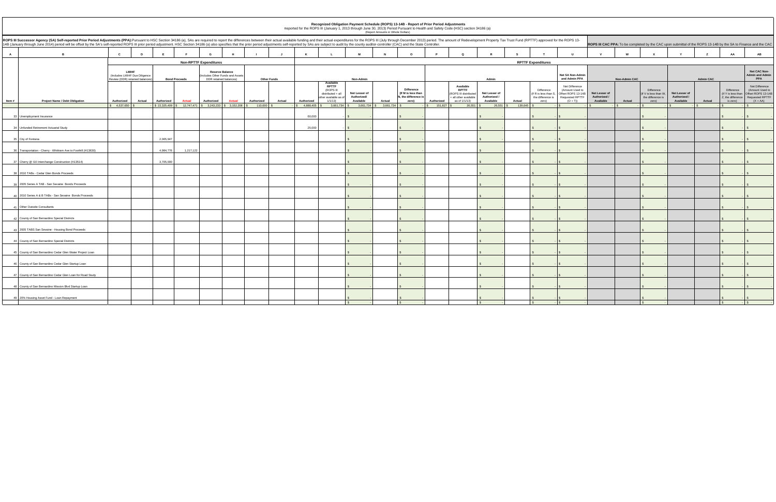|                |                                                                                                                                                                                                                                |                                                                                                                                                                                                              |               |            |               |                                                                                                      |                      |                                 |                                                                                                                  |                                           | (Report Amounts in Whole Dollars)   |                                                                   | Recognized Obligation Payment Schedule (ROPS) 13-14B - Report of Prior Period Adjustments<br>Reported for the ROPS III (January 1, 2013 through June 30, 2013) Period Pursuant to Health and Safety Code (HSC) section 34186 (a) |                                                      |                      |                                                                   |                                                                                         |                                                            |                                                      |                                                                                 |                                            |              |                                                                                   |                                                                                                                 |
|----------------|--------------------------------------------------------------------------------------------------------------------------------------------------------------------------------------------------------------------------------|--------------------------------------------------------------------------------------------------------------------------------------------------------------------------------------------------------------|---------------|------------|---------------|------------------------------------------------------------------------------------------------------|----------------------|---------------------------------|------------------------------------------------------------------------------------------------------------------|-------------------------------------------|-------------------------------------|-------------------------------------------------------------------|----------------------------------------------------------------------------------------------------------------------------------------------------------------------------------------------------------------------------------|------------------------------------------------------|----------------------|-------------------------------------------------------------------|-----------------------------------------------------------------------------------------|------------------------------------------------------------|------------------------------------------------------|---------------------------------------------------------------------------------|--------------------------------------------|--------------|-----------------------------------------------------------------------------------|-----------------------------------------------------------------------------------------------------------------|
|                | ROPS III Successor Agency (SA) Self-reported Prior Period Adjustments (PPA):Pursuant to HSC Section 34186 (a), SAs are required to report the differences between their actual available funding and their actual expenditures |                                                                                                                                                                                                              |               |            |               |                                                                                                      |                      |                                 |                                                                                                                  |                                           |                                     |                                                                   |                                                                                                                                                                                                                                  |                                                      |                      |                                                                   |                                                                                         |                                                            |                                                      |                                                                                 |                                            |              |                                                                                   | ROPS III CAC PPA: To be completed by the CAC upon submittal of the ROPS 13-14B by the SA to Finance and the CAC |
| $\overline{A}$ | $\overline{B}$                                                                                                                                                                                                                 | $\mathbf{c}$                                                                                                                                                                                                 | D             | E          |               | H<br>G                                                                                               |                      | $\mathsf{K}$                    |                                                                                                                  | M                                         | N                                   | $\Omega$                                                          | $\circ$                                                                                                                                                                                                                          |                                                      |                      |                                                                   | $\cup$                                                                                  |                                                            |                                                      |                                                                                 |                                            | $\mathbf{z}$ | AA                                                                                | AB                                                                                                              |
|                |                                                                                                                                                                                                                                |                                                                                                                                                                                                              |               |            |               | <b>Non-RPTTF Expenditures</b>                                                                        |                      |                                 | <b>RPTTF Expenditures</b>                                                                                        |                                           |                                     |                                                                   |                                                                                                                                                                                                                                  |                                                      |                      |                                                                   |                                                                                         |                                                            |                                                      |                                                                                 |                                            |              |                                                                                   |                                                                                                                 |
|                |                                                                                                                                                                                                                                | LMIHF<br><b>Reserve Balance</b><br>Includes LMIHF Due Diligence<br>ncludes Other Funds and Assets<br>Review (DDR) retained balances)<br><b>Bond Proceeds</b><br><b>Other Funds</b><br>DDR retained balances) |               |            |               | Non-Admin                                                                                            |                      |                                 | Admin                                                                                                            |                                           |                                     | Net SA Non-Admir<br>and Admin PPA                                 |                                                                                                                                                                                                                                  | <b>Non-Admin CAC</b>                                 |                      |                                                                   | <b>Admin CAC</b>                                                                        |                                                            | Net CAC Non-<br><b>Admin and Admin</b><br><b>PPA</b> |                                                                                 |                                            |              |                                                                                   |                                                                                                                 |
| Item#          | <b>Project Name / Debt Obligation</b>                                                                                                                                                                                          | Authorized<br>$6 - 4.537.650$                                                                                                                                                                                | <b>Actual</b> | Authorized | <b>Actual</b> | Authorized<br><b>Actual</b><br>$$22,325,409$ $$12,747,471$ $$3,243,233$ $$3,152,208$ $$110,000$ $$5$ | Authorized<br>Actual | Authorized<br>$$4,888,405$ \ \$ | Available<br><b>RPTTF</b><br>(ROPS III<br>distributed + all<br>other available as of<br>1/1/13<br>$3,661,734$ \$ | Net Lesser of<br>Authorized/<br>Available | Actual<br>3,661,734 \$ 3,661,734 \$ | Difference<br>(If M is less than<br>N. the difference is<br>zero) | Available<br><b>RPTTF</b><br>(ROPS III distributed<br>+ all other available<br>Authorized<br>as of 1/1/13)<br>$\frac{1}{2}$ 151,827 \$<br>$26,551$ \$                                                                            | Net Lesser of<br>Authorized /<br>Available<br>26,551 | Actual<br>139,645 \$ | Difference<br>(If R is less than S,<br>the difference is<br>zero) | Net Difference<br>(Amount Used to<br>Offset ROPS 13-14B<br>Requested RPTTF<br>$(O + T)$ | Net Lesser of<br>Authorized /<br>Available<br>$\mathbf{s}$ | Actual<br>$\mathbb{S}$                               | Difference<br>(If V is less than W,<br>the difference is<br>zero)<br>$\sqrt{S}$ | Net Lesser of<br>Authorized /<br>Available | Actual       | Difference<br>(If Y is less than<br>Z, the difference<br>is zero)<br>$\mathbb{S}$ | Net Difference<br>(Amount Used to<br>Offset ROPS 13-14B<br><b>Requested RPTTF</b><br>$(X + AA)$<br>$\cdot$ S    |
|                |                                                                                                                                                                                                                                |                                                                                                                                                                                                              |               |            |               |                                                                                                      |                      |                                 |                                                                                                                  |                                           |                                     |                                                                   |                                                                                                                                                                                                                                  |                                                      |                      |                                                                   |                                                                                         |                                                            |                                                      |                                                                                 |                                            |              |                                                                                   |                                                                                                                 |
|                | 33 Unemployment Insurance                                                                                                                                                                                                      |                                                                                                                                                                                                              |               |            |               |                                                                                                      |                      | 60,000                          |                                                                                                                  | $\mathcal{S}$                             |                                     |                                                                   |                                                                                                                                                                                                                                  |                                                      |                      |                                                                   |                                                                                         |                                                            |                                                      | $\mathfrak{L}$                                                                  |                                            |              |                                                                                   |                                                                                                                 |
|                | 34 Unfunded Retirement Actuarial Study                                                                                                                                                                                         |                                                                                                                                                                                                              |               |            |               |                                                                                                      |                      | 25,000                          |                                                                                                                  |                                           |                                     |                                                                   |                                                                                                                                                                                                                                  |                                                      |                      |                                                                   |                                                                                         |                                                            |                                                      |                                                                                 |                                            |              |                                                                                   |                                                                                                                 |
|                |                                                                                                                                                                                                                                |                                                                                                                                                                                                              |               |            |               |                                                                                                      |                      |                                 |                                                                                                                  |                                           |                                     |                                                                   |                                                                                                                                                                                                                                  |                                                      |                      |                                                                   |                                                                                         |                                                            |                                                      |                                                                                 |                                            |              |                                                                                   |                                                                                                                 |
|                | 35 City of Fontana                                                                                                                                                                                                             |                                                                                                                                                                                                              |               | 2.065.947  |               |                                                                                                      |                      |                                 |                                                                                                                  |                                           |                                     |                                                                   |                                                                                                                                                                                                                                  |                                                      |                      |                                                                   |                                                                                         |                                                            |                                                      |                                                                                 |                                            |              |                                                                                   |                                                                                                                 |
|                | 36 Transportation - Cherry - Whittram Ave to Foothill (H13630)                                                                                                                                                                 |                                                                                                                                                                                                              |               | 4,984,776  | 1,217,122     |                                                                                                      |                      |                                 |                                                                                                                  |                                           |                                     |                                                                   |                                                                                                                                                                                                                                  |                                                      |                      |                                                                   |                                                                                         |                                                            |                                                      |                                                                                 |                                            |              |                                                                                   |                                                                                                                 |
|                | 37 Cherry @ 110 Interchange Construction (H13514)                                                                                                                                                                              |                                                                                                                                                                                                              |               | 3,705,000  |               |                                                                                                      |                      |                                 |                                                                                                                  |                                           |                                     |                                                                   |                                                                                                                                                                                                                                  |                                                      |                      |                                                                   |                                                                                         |                                                            |                                                      |                                                                                 |                                            |              |                                                                                   |                                                                                                                 |
|                | 38 2010 TABs - Cedar Glen Bonds Proceeds                                                                                                                                                                                       |                                                                                                                                                                                                              |               |            |               |                                                                                                      |                      |                                 |                                                                                                                  |                                           |                                     |                                                                   |                                                                                                                                                                                                                                  |                                                      |                      |                                                                   |                                                                                         |                                                            |                                                      |                                                                                 |                                            |              |                                                                                   |                                                                                                                 |
|                | 39 2005 Series A TAB - San Sevaine Bonds Proceeds                                                                                                                                                                              |                                                                                                                                                                                                              |               |            |               |                                                                                                      |                      |                                 |                                                                                                                  |                                           |                                     |                                                                   |                                                                                                                                                                                                                                  |                                                      |                      |                                                                   |                                                                                         |                                                            |                                                      |                                                                                 |                                            |              |                                                                                   |                                                                                                                 |
|                | 40 2010 Series A & B TABs - San Sevaine Bonds Proceeds                                                                                                                                                                         |                                                                                                                                                                                                              |               |            |               |                                                                                                      |                      |                                 |                                                                                                                  |                                           |                                     |                                                                   |                                                                                                                                                                                                                                  |                                                      |                      |                                                                   |                                                                                         |                                                            |                                                      |                                                                                 |                                            |              |                                                                                   |                                                                                                                 |
|                | 41 Other Outside Consultants                                                                                                                                                                                                   |                                                                                                                                                                                                              |               |            |               |                                                                                                      |                      |                                 |                                                                                                                  |                                           |                                     |                                                                   |                                                                                                                                                                                                                                  |                                                      |                      |                                                                   |                                                                                         |                                                            |                                                      |                                                                                 |                                            |              |                                                                                   |                                                                                                                 |
|                | 42 County of San Bernardino Special Districts                                                                                                                                                                                  |                                                                                                                                                                                                              |               |            |               |                                                                                                      |                      |                                 |                                                                                                                  |                                           |                                     |                                                                   |                                                                                                                                                                                                                                  |                                                      |                      |                                                                   |                                                                                         |                                                            |                                                      |                                                                                 |                                            |              |                                                                                   |                                                                                                                 |
|                | 43 2005 TABS San Sevaine - Housing Bond Proceeds                                                                                                                                                                               |                                                                                                                                                                                                              |               |            |               |                                                                                                      |                      |                                 |                                                                                                                  |                                           |                                     |                                                                   |                                                                                                                                                                                                                                  |                                                      |                      |                                                                   |                                                                                         |                                                            |                                                      |                                                                                 |                                            |              |                                                                                   |                                                                                                                 |
|                | 44 County of San Bernardino Special Districts                                                                                                                                                                                  |                                                                                                                                                                                                              |               |            |               |                                                                                                      |                      |                                 |                                                                                                                  |                                           |                                     |                                                                   |                                                                                                                                                                                                                                  |                                                      |                      |                                                                   |                                                                                         |                                                            |                                                      |                                                                                 |                                            |              |                                                                                   |                                                                                                                 |
|                | 45 County of San Bernardino Cedar Glen Water Project Loan                                                                                                                                                                      |                                                                                                                                                                                                              |               |            |               |                                                                                                      |                      |                                 |                                                                                                                  |                                           |                                     |                                                                   |                                                                                                                                                                                                                                  |                                                      |                      |                                                                   |                                                                                         |                                                            |                                                      |                                                                                 |                                            |              |                                                                                   |                                                                                                                 |
|                | 46 County of San Bernardino Cedar Glen Startup Loan                                                                                                                                                                            |                                                                                                                                                                                                              |               |            |               |                                                                                                      |                      |                                 |                                                                                                                  |                                           |                                     |                                                                   |                                                                                                                                                                                                                                  |                                                      |                      |                                                                   |                                                                                         |                                                            |                                                      |                                                                                 |                                            |              |                                                                                   |                                                                                                                 |
|                | 47 County of San Bernardino Cedar Glen Loan for Road Study                                                                                                                                                                     |                                                                                                                                                                                                              |               |            |               |                                                                                                      |                      |                                 |                                                                                                                  |                                           |                                     |                                                                   |                                                                                                                                                                                                                                  |                                                      |                      |                                                                   |                                                                                         |                                                            |                                                      |                                                                                 |                                            |              |                                                                                   |                                                                                                                 |
|                | 48 County of San Bernardino Mission Blvd Startup Loan                                                                                                                                                                          |                                                                                                                                                                                                              |               |            |               |                                                                                                      |                      |                                 |                                                                                                                  |                                           |                                     |                                                                   |                                                                                                                                                                                                                                  |                                                      |                      |                                                                   |                                                                                         |                                                            |                                                      |                                                                                 |                                            |              |                                                                                   |                                                                                                                 |
|                | 49 20% Housing Asset Fund - Loan Repayment                                                                                                                                                                                     |                                                                                                                                                                                                              |               |            |               |                                                                                                      |                      |                                 |                                                                                                                  |                                           |                                     |                                                                   |                                                                                                                                                                                                                                  |                                                      |                      |                                                                   |                                                                                         |                                                            |                                                      |                                                                                 |                                            |              |                                                                                   |                                                                                                                 |
|                |                                                                                                                                                                                                                                |                                                                                                                                                                                                              |               |            |               |                                                                                                      |                      |                                 |                                                                                                                  |                                           |                                     |                                                                   |                                                                                                                                                                                                                                  |                                                      |                      |                                                                   |                                                                                         |                                                            |                                                      |                                                                                 |                                            |              |                                                                                   |                                                                                                                 |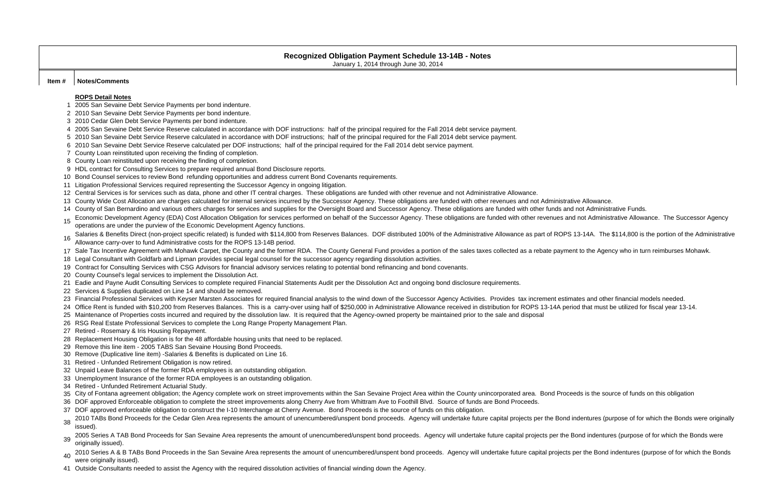#### **Item # Notes/Comments**

## **ROPS Detail Notes**

- 1 2005 San Sevaine Debt Service Payments per bond indenture.
- 2 2010 San Sevaine Debt Service Payments per bond indenture.
- 2010 Cedar Glen Debt Service Payments per bond indenture. 3
- 4 2005 San Sevaine Debt Service Reserve calculated in accordance with DOF instructions: half of the principal required for the Fall 2014 debt service payment.
- 5 2010 San Sevaine Debt Service Reserve calculated in accordance with DOF instructions; half of the principal required for the Fall 2014 debt service payment.
- 6 2010 San Sevaine Debt Service Reserve calculated per DOF instructions; half of the principal required for the Fall 2014 debt service payment.
- County Loan reinstituted upon receiving the finding of completion. 7
- County Loan reinstituted upon receiving the finding of completion. 8
- HDL contract for Consulting Services to prepare required annual Bond Disclosure reports. 9
- 10 Bond Counsel services to review Bond refunding opportunities and address current Bond Covenants requirements.
- 11 Litigation Professional Services required representing the Successor Agency in ongoing litigation.
- 12 Central Services is for services such as data, phone and other IT central charges. These obligations are funded with other revenue and not Administrative Allowance.
- 13 County Wide Cost Allocation are charges calculated for internal services incurred by the Successor Agency. These obligations are funded with other revenues and not Administrative Allowance.
- 14 County of San Bernardino and various others charges for services and supplies for the Oversight Board and Successor Agency. These obligations are funded with other funds and not Administrative Funds.
- 15Economic Development Agency (EDA) Cost Allocation Obligation for services performed on behalf of the Successor Agency. These obligations are funded with other revenues and not Administrative Allowance. The Successor Agency
- 16Salaries & Benefits Direct (non-project specific related) is funded with \$114,800 from Reserves Balances. DOF distributed 100% of the Administrative Allowance as part of ROPS 13-14A. The \$114,800 is the portion of the Admi
- 17 Sale Tax Incentive Agreement with Mohawk Carpet, the County and the former RDA. The County General Fund provides a portion of the sales taxes collected as a rebate payment to the Agency who in turn reimburses Mohawk.
- 18 Legal Consultant with Goldfarb and Lipman provides special legal counsel for the successor agency regarding dissolution activities.
- 19 Contract for Consulting Services with CSG Advisors for financial advisory services relating to potential bond refinancing and bond covenants.
- 20 County Counsel's legal services to implement the Dissolution Act.
- Eadie and Payne Audit Consulting Services to complete required Financial Statements Audit per the Dissolution Act 21 and ongoing bond disclosure requirements.
- 22 Services & Supplies duplicated on Line 14 and should be removed.
- 23 Financial Professional Services with Keyser Marsten Associates for required financial analysis to the wind down of the Successor Agency Activities. Provides tax increment estimates and other financial models needed.
- 24 Office Rent is funded with \$10,200 from Reserves Balances. This is a carry-over using half of \$250,000 in Administrative Allowance received in distribution for ROPS 13-14A period that must be utilized for fiscal year 13
- 25 Maintenance of Properties costs incurred and required by the dissolution law. It is required that the Agency-owned property be maintained prior to the sale and disposal
- 26 RSG Real Estate Professional Services to complete the Long Range Property Management Plan.
- 27 Retired Rosemary & Iris Housing Repayment.
- 28 Replacement Housing Obligation is for the 48 affordable housing units that need to be replaced.
- 29 Remove this line item 2005 TABS San Sevaine Housing Bond Proceeds.
- 30 Remove (Duplicative line item) -Salaries & Benefits is duplicated on Line 16.
- 31 Retired Unfunded Retirement Obligation is now retired.
- 32 Unpaid Leave Balances of the former RDA employees is an outstanding obligation.
- 33 Unemployment Insurance of the former RDA employees is an outstanding obligation.
- 34 Retired Unfunded Retirement Actuarial Study.
- 35 City of Fontana agreement obligation; the Agency complete work on street improvements within the San Sevaine Project Area within the County unincorporated area. Bond Proceeds is the source of funds on this obligation
- 36 DOF approved Enforceable obligation to complete the street improvements along Cherry Ave from Whittram Ave to Foothill Blvd. Source of funds are Bond Proceeds.
- 37 DOF approved enforceable obligation to construct the I-10 Interchange at Cherry Avenue. Bond Proceeds is the source of funds on this obligation.
- 382010 TABs Bond Proceeds for the Cedar Glen Area represents the amount of unencumbered/unspent bond proceeds. Agency will undertake future capital projects per the Bond indentures (purpose of for which the Bonds were origin
- 392005 Series A TAB Bond Proceeds for San Sevaine Area represents the amount of unencumbered/unspent bond proceeds. Agency will undertake future capital projects per the Bond indentures (purpose of for which the Bonds were o
- 402010 Series A & B TABs Bond Proceeds in the San Sevaine Area represents the amount of unencumbered/unspent bond proceeds. Agency will undertake future capital projects per the Bond indentures (purpose of for which the Bond
- 41 Outside Consultants needed to assist the Agency with the required dissolution activities of financial winding down the Agency.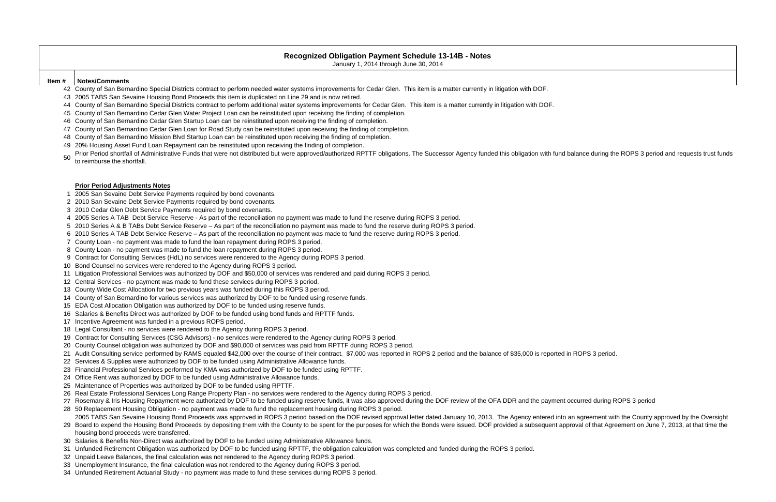### **Item # Notes/Comments**

- 42 County of San Bernardino Special Districts contract to perform needed water systems improvements for Cedar Glen. This item is a matter currently in litigation with DOF.
- 2005 TABS San Sevaine Housing Bond Proceeds this item is duplicated on Line 29 and is now retired. 43
- 44 County of San Bernardino Special Districts contract to perform additional water systems improvements for Cedar Glen. This item is a matter currently in litigation with DOF.
- 45 County of San Bernardino Cedar Glen Water Project Loan can be reinstituted upon receiving the finding of completion.
- County of San Bernardino Cedar Glen Startup Loan can be reinstituted upon receiving the finding of completion. 46
- 47 County of San Bernardino Cedar Glen Loan for Road Study can be reinstituted upon receiving the finding of completion.
- County of San Bernardino Mission Blvd Startup Loan can be reinstituted upon receiving the finding of completion. 48
- 20% Housing Asset Fund Loan Repayment can be reinstituted upon receiving the finding of completion. 49
- Prior Period shortfall of Administrative Funds that were not distributed but were approved/authorized RPTTF obligations. The Successor Agency funded this obligation with fund balance during the ROPS 3 period and requests t

# **Recognized Obligation Payment Schedule 13-14B - Notes**  January 1, 2014 through June 30, 2014

## **Prior Period Adjustments Notes**

- 1 2005 San Sevaine Debt Service Payments required by bond covenants.
- 2 2010 San Sevaine Debt Service Payments required by bond covenants.
- 2010 Cedar Glen Debt Service Payments required by bond covenants. 3
- 2005 Series A TAB Debt Service Reserve As part of the reconciliation no payment was made to fund the reserve 4 during ROPS 3 period.
- 5 2010 Series A & B TABs Debt Service Reserve As part of the reconciliation no payment was made to fund the reserve during ROPS 3 period.
- 6 2010 Series A TAB Debt Service Reserve As part of the reconciliation no payment was made to fund the reserve during ROPS 3 period.
- County Loan no payment was made to fund the loan repayment during ROPS 3 period. 7
- County Loan no payment was made to fund the loan repayment during ROPS 3 period. 8
- Contract for Consulting Services (HdL) no services were rendered to the Agency during ROPS 3 period. 9
- 10 Bond Counsel no services were rendered to the Agency during ROPS 3 period.
- 11 Litigation Professional Services was authorized by DOF and \$50,000 of services was rendered and paid during ROPS 3 period.
- 12 Central Services no payment was made to fund these services during ROPS 3 period.
- 13 County Wide Cost Allocation for two previous years was funded during this ROPS 3 period.
- 14 County of San Bernardino for various services was authorized by DOF to be funded using reserve funds.
- EDA Cost Allocation Obligation was authorized by DOF to be funded using reserve funds. 15
- 16 Salaries & Benefits Direct was authorized by DOF to be funded using bond funds and RPTTF funds.
- 17 Incentive Agreement was funded in a previous ROPS period.
- 18 Legal Consultant no services were rendered to the Agency during ROPS 3 period.
- Contract for Consulting Services (CSG Advisors) no services were rendered to the Agency during ROPS 3 period. 19
- County Counsel obligation was authorized by DOF and \$90,000 of services was paid from RPTTF during ROPS 3 period. 20
- 21 Audit Consulting service performed by RAMS equaled \$42,000 over the course of their contract. \$7,000 was reported in ROPS 2 period and the balance of \$35,000 is reported in ROPS 3 period.
- 22 Services & Supplies were authorized by DOF to be funded using Administrative Allowance funds.
- 23 Financial Professional Services performed by KMA was authorized by DOF to be funded using RPTTF.
- 24 Office Rent was authorized by DOF to be funded using Administrative Allowance funds.
- 25 Maintenance of Properties was authorized by DOF to be funded using RPTTF.
- 26 Real Estate Professional Services Long Range Property Plan no services were rendered to the Agency during ROPS 3 period.
- 27 Rosemary & Iris Housing Repayment were authorized by DOF to be funded using reserve funds, it was also approved during the DOF review of the OFA DDR and the payment occurred during ROPS 3 period
- 50 Replacement Housing Obligation no payment was made to fund the replacement housing during ROPS 3 period. 28 2005 TABS San Sevaine Housing Bond Proceeds was approved in ROPS 3 period based on the DOF revised approval letter dated January 10, 2013. The Agency entered into an agreement with the County approved by the Oversight
- 29 Board to expend the Housing Bond Proceeds by depositing them with the County to be spent for the purposes for which the Bonds were issued. DOF provided a subsequent approval of that Agreement on June 7, 2013, at that ti housing bond proceeds were transferred.
- Salaries & Benefits Non-Direct was authorized by DOF to be funded using Administrative Allowance funds. 30
- 31 Unfunded Retirement Obligation was authorized by DOF to be funded using RPTTF, the obligation calculation was completed and funded during the ROPS 3 period.
- 32 Unpaid Leave Balances, the final calculation was not rendered to the Agency during ROPS 3 period.
- 33 Unemployment Insurance, the final calculation was not rendered to the Agency during ROPS 3 period.
- 34 Unfunded Retirement Actuarial Study no payment was made to fund these services during ROPS 3 period.